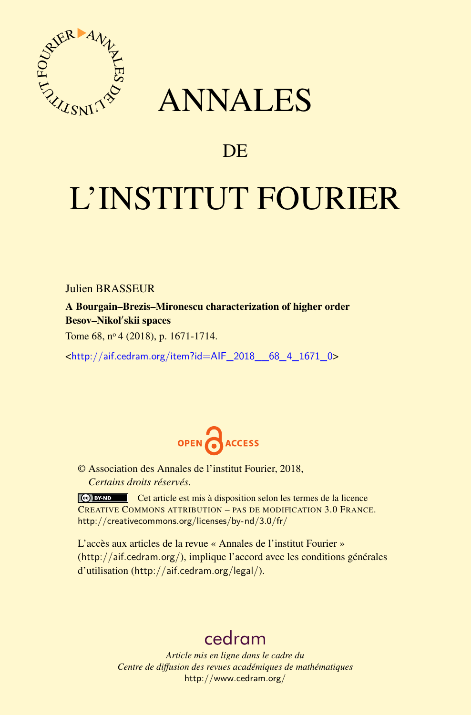

# ANNALES

## **DE**

# L'INSTITUT FOURIER

Julien BRASSEUR

A Bourgain–Brezis–Mironescu characterization of higher order Besov–Nikol'skii spaces

Tome 68, nº 4 (2018), p. 1671-1714.

<[http://aif.cedram.org/item?id=AIF\\_2018\\_\\_68\\_4\\_1671\\_0](http://aif.cedram.org/item?id=AIF_2018__68_4_1671_0)>



© Association des Annales de l'institut Fourier, 2018, *Certains droits réservés.*

Cet article est mis à disposition selon les termes de la licence CREATIVE COMMONS ATTRIBUTION – PAS DE MODIFICATION 3.0 FRANCE. <http://creativecommons.org/licenses/by-nd/3.0/fr/>

L'accès aux articles de la revue « Annales de l'institut Fourier » (<http://aif.cedram.org/>), implique l'accord avec les conditions générales d'utilisation (<http://aif.cedram.org/legal/>).

# [cedram](http://www.cedram.org/)

*Article mis en ligne dans le cadre du Centre de diffusion des revues académiques de mathématiques* <http://www.cedram.org/>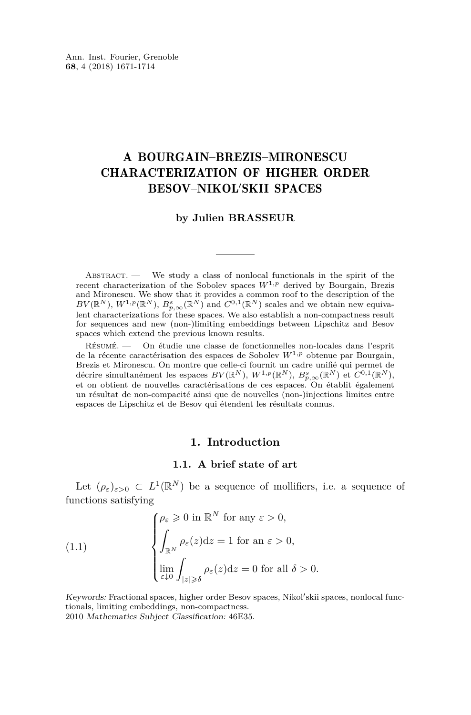## A BOURGAIN–BREZIS–MIRONESCU CHARACTERIZATION OF HIGHER ORDER BESOV-NIKOL'SKII SPACES

#### **by Julien BRASSEUR**

ABSTRACT.  $\qquad$  We study a class of nonlocal functionals in the spirit of the recent characterization of the Sobolev spaces *W*1*,p* derived by Bourgain, Brezis and Mironescu. We show that it provides a common roof to the description of the  $BV(\mathbb{R}^N)$ ,  $W^{1,p}(\mathbb{R}^N)$ ,  $B^s_{p,\infty}(\mathbb{R}^N)$  and  $C^{0,1}(\mathbb{R}^N)$  scales and we obtain new equivalent characterizations for these spaces. We also establish a non-compactness result for sequences and new (non-)limiting embeddings between Lipschitz and Besov spaces which extend the previous known results.

Résumé. — On étudie une classe de fonctionnelles non-locales dans l'esprit de la récente caractérisation des espaces de Sobolev  $W^{1,p}$  obtenue par Bourgain, Brezis et Mironescu. On montre que celle-ci fournit un cadre unifié qui permet de décrire simultanément les espaces  $BV(\mathbb{R}^N)$ ,  $W^{1,p}(\mathbb{R}^N)$ ,  $B^s_{p,\infty}(\mathbb{R}^N)$  et  $C^{0,1}(\mathbb{R}^N)$ , et on obtient de nouvelles caractérisations de ces espaces. On établit également un résultat de non-compacité ainsi que de nouvelles (non-)injections limites entre espaces de Lipschitz et de Besov qui étendent les résultats connus.

#### **1. Introduction**

#### **1.1. A brief state of art**

Let  $(\rho_{\varepsilon})_{\varepsilon>0} \subset L^1(\mathbb{R}^N)$  be a sequence of mollifiers, i.e. a sequence of functions satisfying

<span id="page-1-0"></span>(1.1) 
$$
\begin{cases} \rho_{\varepsilon} \geqslant 0 \text{ in } \mathbb{R}^{N} \text{ for any } \varepsilon > 0, \\ \int_{\mathbb{R}^{N}} \rho_{\varepsilon}(z) dz = 1 \text{ for an } \varepsilon > 0, \\ \lim_{\varepsilon \downarrow 0} \int_{|z| \geqslant \delta} \rho_{\varepsilon}(z) dz = 0 \text{ for all } \delta > 0. \end{cases}
$$

Keywords: Fractional spaces, higher order Besov spaces, Nikol'skii spaces, nonlocal functionals, limiting embeddings, non-compactness.

<sup>2010</sup> Mathematics Subject Classification: 46E35.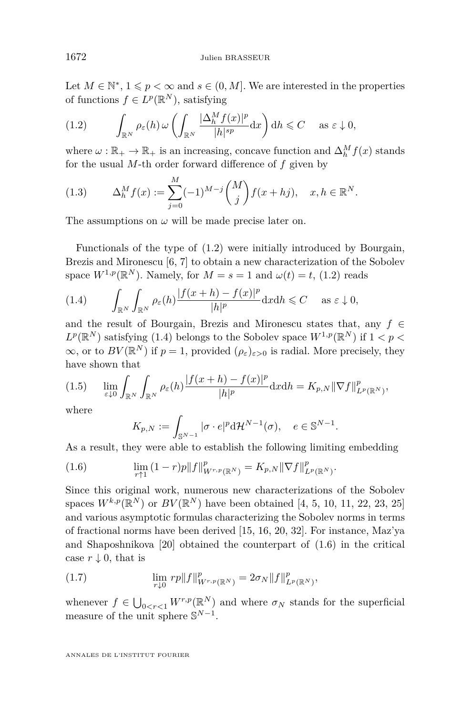Let  $M \in \mathbb{N}^*$ ,  $1 \leqslant p < \infty$  and  $s \in (0, M]$ . We are interested in the properties of functions  $f \in L^p(\mathbb{R}^N)$ , satisfying

<span id="page-2-0"></span>(1.2) 
$$
\int_{\mathbb{R}^N} \rho_{\varepsilon}(h) \, \omega \left( \int_{\mathbb{R}^N} \frac{|\Delta_h^M f(x)|^p}{|h|^{sp}} \, dx \right) dh \leq C \quad \text{as } \varepsilon \downarrow 0,
$$

where  $\omega : \mathbb{R}_+ \to \mathbb{R}_+$  is an increasing, concave function and  $\Delta_h^M f(x)$  stands for the usual *M*-th order forward difference of *f* given by

<span id="page-2-3"></span>(1.3) 
$$
\Delta_h^M f(x) := \sum_{j=0}^M (-1)^{M-j} \binom{M}{j} f(x + hj), \quad x, h \in \mathbb{R}^N.
$$

The assumptions on  $\omega$  will be made precise later on.

Functionals of the type of [\(1.2\)](#page-2-0) were initially introduced by Bourgain, Brezis and Mironescu [\[6,](#page-42-0) [7\]](#page-42-1) to obtain a new characterization of the Sobolev space  $W^{1,p}(\mathbb{R}^N)$ . Namely, for  $M = s = 1$  and  $\omega(t) = t$ , [\(1.2\)](#page-2-0) reads

<span id="page-2-1"></span>(1.4) 
$$
\int_{\mathbb{R}^N} \int_{\mathbb{R}^N} \rho_{\varepsilon}(h) \frac{|f(x+h) - f(x)|^p}{|h|^p} dx dh \leq C \quad \text{as } \varepsilon \downarrow 0,
$$

and the result of Bourgain, Brezis and Mironescu states that, any  $f \in$  $L^p(\mathbb{R}^N)$  satisfying [\(1.4\)](#page-2-1) belongs to the Sobolev space  $W^{1,p}(\mathbb{R}^N)$  if  $1 < p <$  $\infty$ , or to  $BV(\mathbb{R}^N)$  if  $p=1$ , provided  $(\rho_{\varepsilon})_{\varepsilon>0}$  is radial. More precisely, they have shown that

$$
(1.5) \qquad \lim_{\varepsilon \downarrow 0} \int_{\mathbb{R}^N} \int_{\mathbb{R}^N} \rho_{\varepsilon}(h) \frac{|f(x+h) - f(x)|^p}{|h|^p} \mathrm{d}x \mathrm{d}h = K_{p,N} \|\nabla f\|_{L^p(\mathbb{R}^N)}^p,
$$

where

$$
K_{p,N} := \int_{\mathbb{S}^{N-1}} |\sigma \cdot e|^p \mathrm{d} \mathcal{H}^{N-1}(\sigma), \quad e \in \mathbb{S}^{N-1}.
$$

As a result, they were able to establish the following limiting embedding

<span id="page-2-2"></span>(1.6) 
$$
\lim_{r \uparrow 1} (1-r)p \|f\|_{W^{r,p}(\mathbb{R}^N)}^p = K_{p,N} \|\nabla f\|_{L^p(\mathbb{R}^N)}^p.
$$

Since this original work, numerous new characterizations of the Sobolev spaces  $W^{k,p}(\mathbb{R}^N)$  or  $BV(\mathbb{R}^N)$  have been obtained [\[4,](#page-42-2) [5,](#page-42-3) [10,](#page-43-0) [11,](#page-43-1) [22,](#page-43-2) [23,](#page-43-3) [25\]](#page-43-4) and various asymptotic formulas characterizing the Sobolev norms in terms of fractional norms have been derived [\[15,](#page-43-5) [16,](#page-43-6) [20,](#page-43-7) [32\]](#page-43-8). For instance, Maz'ya and Shaposhnikova [\[20\]](#page-43-7) obtained the counterpart of [\(1.6\)](#page-2-2) in the critical case  $r \downarrow 0$ , that is

(1.7) 
$$
\lim_{r \downarrow 0} rp \|f\|_{W^{r,p}(\mathbb{R}^N)}^p = 2\sigma_N \|f\|_{L^p(\mathbb{R}^N)}^p,
$$

whenever  $f \in \bigcup_{0 \leq r \leq 1} W^{r,p}(\mathbb{R}^N)$  and where  $\sigma_N$  stands for the superficial measure of the unit sphere  $\mathbb{S}^{N-1}$ .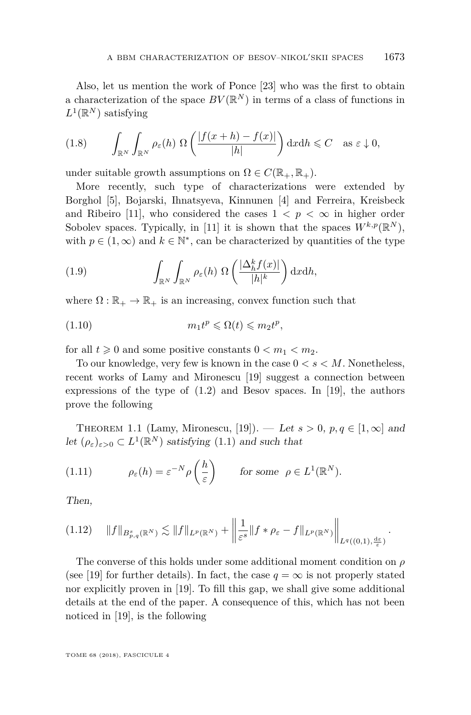Also, let us mention the work of Ponce [\[23\]](#page-43-3) who was the first to obtain a characterization of the space  $BV(\mathbb{R}^N)$  in terms of a class of functions in  $L^1(\mathbb{R}^N)$  satisfying

<span id="page-3-1"></span>
$$
(1.8) \qquad \int_{\mathbb{R}^N} \int_{\mathbb{R}^N} \rho_{\varepsilon}(h) \, \Omega\left(\frac{|f(x+h) - f(x)|}{|h|}\right) \mathrm{d}x \mathrm{d}h \leqslant C \quad \text{as } \varepsilon \downarrow 0,
$$

under suitable growth assumptions on  $\Omega \in C(\mathbb{R}_+, \mathbb{R}_+).$ 

More recently, such type of characterizations were extended by Borghol [\[5\]](#page-42-3), Bojarski, Ihnatsyeva, Kinnunen [\[4\]](#page-42-2) and Ferreira, Kreisbeck and Ribeiro [\[11\]](#page-43-1), who considered the cases  $1 < p < \infty$  in higher order Sobolev spaces. Typically, in [\[11\]](#page-43-1) it is shown that the spaces  $W^{k,p}(\mathbb{R}^N)$ , with  $p \in (1, \infty)$  and  $k \in \mathbb{N}^*$ , can be characterized by quantities of the type

<span id="page-3-2"></span>(1.9) 
$$
\int_{\mathbb{R}^N} \int_{\mathbb{R}^N} \rho_{\varepsilon}(h) \, \Omega\left(\frac{|\Delta_h^k f(x)|}{|h|^k}\right) \mathrm{d}x \mathrm{d}h,
$$

where  $\Omega : \mathbb{R}_+ \to \mathbb{R}_+$  is an increasing, convex function such that

$$
(1.10) \t\t\t m_1 t^p \leq \Omega(t) \leq m_2 t^p,
$$

for all  $t \geq 0$  and some positive constants  $0 < m_1 < m_2$ .

To our knowledge, very few is known in the case 0 *< s < M*. Nonetheless, recent works of Lamy and Mironescu [\[19\]](#page-43-9) suggest a connection between expressions of the type of  $(1.2)$  and Besov spaces. In [\[19\]](#page-43-9), the authors prove the following

THEOREM 1.1 (Lamy, Mironescu, [\[19\]](#page-43-9)). — Let  $s > 0$ ,  $p, q \in [1, \infty]$  and let  $(\rho_{\varepsilon})_{\varepsilon>0} \subset L^1(\mathbb{R}^N)$  satisfying [\(1.1\)](#page-1-0) and such that

<span id="page-3-0"></span>(1.11) 
$$
\rho_{\varepsilon}(h) = \varepsilon^{-N} \rho\left(\frac{h}{\varepsilon}\right) \quad \text{for some } \rho \in L^{1}(\mathbb{R}^{N}).
$$

Then,

<span id="page-3-3"></span>
$$
(1.12) \quad \|f\|_{B^s_{p,q}(\mathbb{R}^N)} \lesssim \|f\|_{L^p(\mathbb{R}^N)} + \left\|\frac{1}{\varepsilon^s} \|f \ast \rho_\varepsilon - f\|_{L^p(\mathbb{R}^N)}\right\|_{L^q((0,1),\frac{\mathrm{d}\varepsilon}{\varepsilon})}.
$$

The converse of this holds under some additional moment condition on *ρ* (see [\[19\]](#page-43-9) for further details). In fact, the case  $q = \infty$  is not properly stated nor explicitly proven in [\[19\]](#page-43-9). To fill this gap, we shall give some additional details at the end of the paper. A consequence of this, which has not been noticed in [\[19\]](#page-43-9), is the following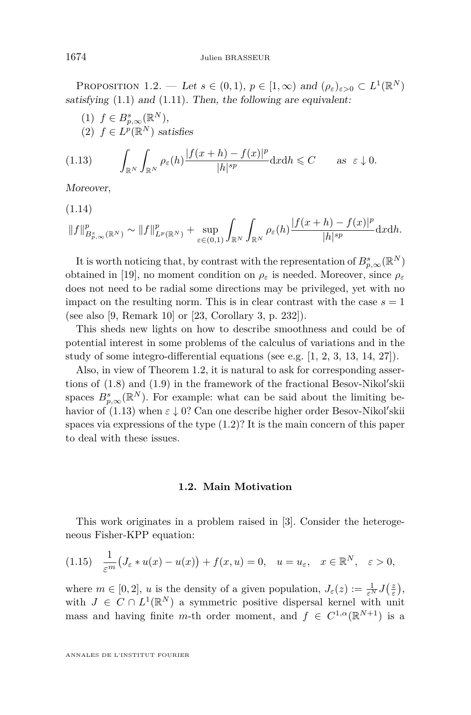<span id="page-4-0"></span>PROPOSITION 1.2. — Let  $s \in (0,1)$ ,  $p \in [1,\infty)$  and  $(\rho_{\varepsilon})_{\varepsilon>0} \subset L^1(\mathbb{R}^N)$ satisfying  $(1.1)$  and  $(1.11)$ . Then, the following are equivalent:

(1) 
$$
f \in B_{p,\infty}^s(\mathbb{R}^N)
$$
,  
(2)  $f \in L^p(\mathbb{R}^N)$  satisfies

<span id="page-4-1"></span>
$$
(1.13) \qquad \int_{\mathbb{R}^N} \int_{\mathbb{R}^N} \rho_{\varepsilon}(h) \frac{|f(x+h) - f(x)|^p}{|h|^{sp}} \mathrm{d}x \mathrm{d}h \leqslant C \qquad \text{as } \varepsilon \downarrow 0.
$$

Moreover,

<span id="page-4-3"></span>(1.14)

$$
||f||_{B_{p,\infty}^s(\mathbb{R}^N)}^p \sim ||f||_{L^p(\mathbb{R}^N)}^p + \sup_{\varepsilon \in (0,1)} \int_{\mathbb{R}^N} \int_{\mathbb{R}^N} \rho_{\varepsilon}(h) \frac{|f(x+h) - f(x)|^p}{|h|^{sp}} \mathrm{d}x \mathrm{d}h.
$$

It is worth noticing that, by contrast with the representation of  $B^s_{p,\infty}(\mathbb{R}^N)$ obtained in [\[19\]](#page-43-9), no moment condition on  $\rho_{\varepsilon}$  is needed. Moreover, since  $\rho_{\varepsilon}$ does not need to be radial some directions may be privileged, yet with no impact on the resulting norm. This is in clear contrast with the case  $s = 1$ (see also [\[9,](#page-42-4) Remark 10] or [\[23,](#page-43-3) Corollary 3, p. 232]).

This sheds new lights on how to describe smoothness and could be of potential interest in some problems of the calculus of variations and in the study of some integro-differential equations (see e.g. [\[1,](#page-42-5) [2,](#page-42-6) [3,](#page-42-7) [13,](#page-43-10) [14,](#page-43-11) [27\]](#page-43-12)).

Also, in view of Theorem [1.2,](#page-4-0) it is natural to ask for corresponding assertions of  $(1.8)$  and  $(1.9)$  in the framework of the fractional Besov-Nikol'skii spaces  $B_{p,\infty}^s(\mathbb{R}^N)$ . For example: what can be said about the limiting behavior of  $(1.13)$  when  $\varepsilon \downarrow 0$ ? Can one describe higher order Besov-Nikol'skii spaces via expressions of the type  $(1.2)$ ? It is the main concern of this paper to deal with these issues.

#### **1.2. Main Motivation**

This work originates in a problem raised in [\[3\]](#page-42-7). Consider the heterogeneous Fisher-KPP equation:

<span id="page-4-2"></span>
$$
(1.15)\quad \frac{1}{\varepsilon^m}\big(J_\varepsilon * u(x) - u(x)\big) + f(x, u) = 0, \quad u = u_\varepsilon, \quad x \in \mathbb{R}^N, \quad \varepsilon > 0,
$$

where  $m \in [0, 2]$ , *u* is the density of a given population,  $J_{\varepsilon}(z) := \frac{1}{\varepsilon^N} J(\frac{z}{\varepsilon})$ , with  $J \in C \cap L^1(\mathbb{R}^N)$  a symmetric positive dispersal kernel with unit mass and having finite *m*-th order moment, and  $f \in C^{1,\alpha}(\mathbb{R}^{N+1})$  is a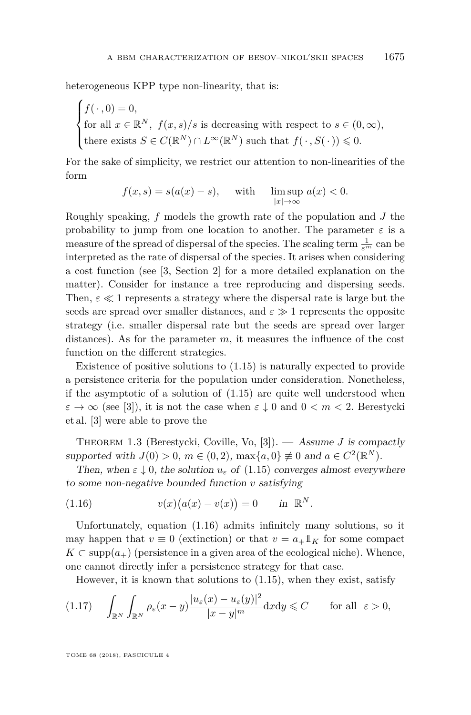heterogeneous KPP type non-linearity, that is:

$$
\begin{cases}\nf(\,\cdot\,,0) = 0, \\
\text{for all } x \in \mathbb{R}^N, \ f(x,s)/s \text{ is decreasing with respect to } s \in (0,\infty), \\
\text{there exists } S \in C(\mathbb{R}^N) \cap L^\infty(\mathbb{R}^N) \text{ such that } f(\,\cdot\,,S(\,\cdot\,)) \leq 0.\n\end{cases}
$$

For the sake of simplicity, we restrict our attention to non-linearities of the form

$$
f(x,s) = s(a(x) - s), \quad \text{with} \quad \limsup_{|x| \to \infty} a(x) < 0.
$$

Roughly speaking, *f* models the growth rate of the population and *J* the probability to jump from one location to another. The parameter  $\varepsilon$  is a measure of the spread of dispersal of the species. The scaling term  $\frac{1}{\varepsilon^m}$  can be interpreted as the rate of dispersal of the species. It arises when considering a cost function (see [\[3,](#page-42-7) Section 2] for a more detailed explanation on the matter). Consider for instance a tree reproducing and dispersing seeds. Then,  $\varepsilon \ll 1$  represents a strategy where the dispersal rate is large but the seeds are spread over smaller distances, and  $\varepsilon \gg 1$  represents the opposite strategy (i.e. smaller dispersal rate but the seeds are spread over larger distances). As for the parameter *m*, it measures the influence of the cost function on the different strategies.

Existence of positive solutions to [\(1.15\)](#page-4-2) is naturally expected to provide a persistence criteria for the population under consideration. Nonetheless, if the asymptotic of a solution of [\(1.15\)](#page-4-2) are quite well understood when  $\varepsilon \to \infty$  (see [\[3\]](#page-42-7)), it is not the case when  $\varepsilon \downarrow 0$  and  $0 < m < 2$ . Berestycki et al. [\[3\]](#page-42-7) were able to prove the

Theorem 1.3 (Berestycki, Coville, Vo, [\[3\]](#page-42-7)). — Assume *J* is compactly supported with  $J(0) > 0$ ,  $m \in (0, 2)$ ,  $\max\{a, 0\} \neq 0$  and  $a \in C^2(\mathbb{R}^N)$ .

Then, when  $\varepsilon \downarrow 0$ , the solution  $u_{\varepsilon}$  of [\(1.15\)](#page-4-2) converges almost everywhere to some non-negative bounded function *v* satisfying

<span id="page-5-0"></span>(1.16) 
$$
v(x)(a(x) - v(x)) = 0 \quad \text{in } \mathbb{R}^N.
$$

Unfortunately, equation [\(1.16\)](#page-5-0) admits infinitely many solutions, so it may happen that  $v \equiv 0$  (extinction) or that  $v = a_{+}1 K_{K}$  for some compact  $K \subset \text{supp}(a_+)$  (persistence in a given area of the ecological niche). Whence, one cannot directly infer a persistence strategy for that case.

However, it is known that solutions to [\(1.15\)](#page-4-2), when they exist, satisfy

<span id="page-5-1"></span>
$$
(1.17) \quad \int_{\mathbb{R}^N} \int_{\mathbb{R}^N} \rho_{\varepsilon}(x-y) \frac{|u_{\varepsilon}(x) - u_{\varepsilon}(y)|^2}{|x-y|^m} \mathrm{d}x \mathrm{d}y \leq C \qquad \text{for all } \varepsilon > 0,
$$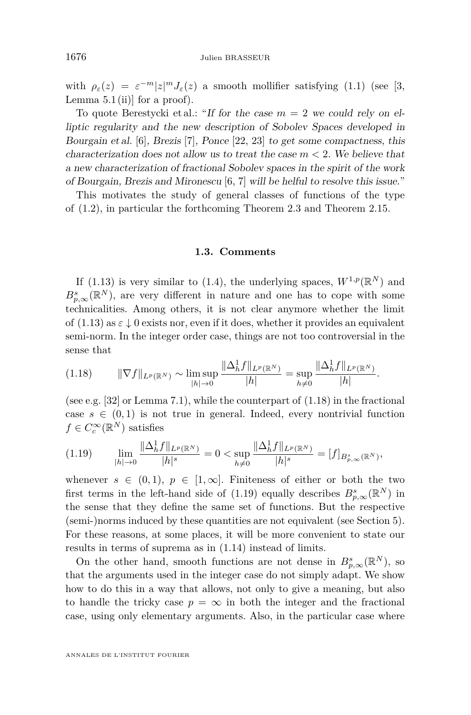with  $\rho_{\varepsilon}(z) = \varepsilon^{-m} |z|^m J_{\varepsilon}(z)$  a smooth mollifier satisfying [\(1.1\)](#page-1-0) (see [\[3,](#page-42-7) Lemma  $5.1$  (ii)] for a proof).

To quote Berestycki et al.: "If for the case  $m = 2$  we could rely on elliptic regularity and the new description of Sobolev Spaces developed in Bourgain et al. [\[6\]](#page-42-0), Brezis [\[7\]](#page-42-1), Ponce [\[22,](#page-43-2) [23\]](#page-43-3) to get some compactness, this characterization does not allow us to treat the case *m <* 2. We believe that a new characterization of fractional Sobolev spaces in the spirit of the work of Bourgain, Brezis and Mironescu [\[6,](#page-42-0) [7\]](#page-42-1) will be helful to resolve this issue."

This motivates the study of general classes of functions of the type of [\(1.2\)](#page-2-0), in particular the forthcoming Theorem [2.3](#page-8-0) and Theorem [2.15.](#page-12-0)

#### **1.3. Comments**

If [\(1.13\)](#page-4-1) is very similar to [\(1.4\)](#page-2-1), the underlying spaces,  $W^{1,p}(\mathbb{R}^N)$  and  $B_{p,\infty}^{s}(\mathbb{R}^{N})$ , are very different in nature and one has to cope with some technicalities. Among others, it is not clear anymore whether the limit of  $(1.13)$  as  $\varepsilon \downarrow 0$  exists nor, even if it does, whether it provides an equivalent semi-norm. In the integer order case, things are not too controversial in the sense that

<span id="page-6-0"></span>
$$
(1.18) \t ||\nabla f||_{L^{p}(\mathbb{R}^{N})} \sim \limsup_{|h| \to 0} \frac{\|\Delta_{h}^{1}f\|_{L^{p}(\mathbb{R}^{N})}}{|h|} = \sup_{h \neq 0} \frac{\|\Delta_{h}^{1}f\|_{L^{p}(\mathbb{R}^{N})}}{|h|}.
$$

(see e.g. [\[32\]](#page-43-8) or Lemma [7.1\)](#page-32-0), while the counterpart of [\(1.18\)](#page-6-0) in the fractional case  $s \in (0,1)$  is not true in general. Indeed, every nontrivial function  $f \in C_c^{\infty}(\mathbb{R}^N)$  satisfies

<span id="page-6-1"></span>
$$
(1.19) \qquad \lim_{|h|\to 0} \frac{\|\Delta_h^1 f\|_{L^p(\mathbb{R}^N)}}{|h|^s} = 0 < \sup_{h\neq 0} \frac{\|\Delta_h^1 f\|_{L^p(\mathbb{R}^N)}}{|h|^s} = [f]_{B_{p,\infty}^s(\mathbb{R}^N)},
$$

whenever  $s \in (0,1)$ ,  $p \in [1,\infty]$ . Finiteness of either or both the two first terms in the left-hand side of  $(1.19)$  equally describes  $B_{p,\infty}^s(\mathbb{R}^N)$  in the sense that they define the same set of functions. But the respective (semi-)norms induced by these quantities are not equivalent (see Section [5\)](#page-18-0). For these reasons, at some places, it will be more convenient to state our results in terms of suprema as in [\(1.14\)](#page-4-3) instead of limits.

On the other hand, smooth functions are not dense in  $B_{p,\infty}^s(\mathbb{R}^N)$ , so that the arguments used in the integer case do not simply adapt. We show how to do this in a way that allows, not only to give a meaning, but also to handle the tricky case  $p = \infty$  in both the integer and the fractional case, using only elementary arguments. Also, in the particular case where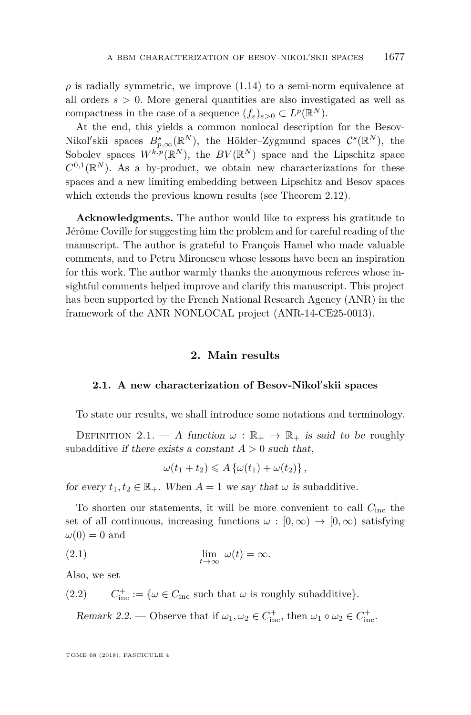$\rho$  is radially symmetric, we improve  $(1.14)$  to a semi-norm equivalence at all orders *s >* 0. More general quantities are also investigated as well as compactness in the case of a sequence  $(f_{\varepsilon})_{\varepsilon>0} \subset L^p(\mathbb{R}^N)$ .

At the end, this yields a common nonlocal description for the Besov-Nikol'skii spaces  $B_{p,\infty}^s(\mathbb{R}^N)$ , the Hölder–Zygmund spaces  $\mathcal{C}^s(\mathbb{R}^N)$ , the Sobolev spaces  $W^{k,p}(\mathbb{R}^N)$ , the  $BV(\mathbb{R}^N)$  space and the Lipschitz space  $C^{0,1}(\mathbb{R}^N)$ . As a by-product, we obtain new characterizations for these spaces and a new limiting embedding between Lipschitz and Besov spaces which extends the previous known results (see Theorem [2.12\)](#page-11-0).

**Acknowledgments.** The author would like to express his gratitude to Jérôme Coville for suggesting him the problem and for careful reading of the manuscript. The author is grateful to François Hamel who made valuable comments, and to Petru Mironescu whose lessons have been an inspiration for this work. The author warmly thanks the anonymous referees whose insightful comments helped improve and clarify this manuscript. This project has been supported by the French National Research Agency (ANR) in the framework of the ANR NONLOCAL project (ANR-14-CE25-0013).

#### **2. Main results**

#### 2.1. A new characterization of Besov-Nikol'skii spaces

To state our results, we shall introduce some notations and terminology.

<span id="page-7-0"></span>DEFINITION 2.1. — A function  $\omega : \mathbb{R}_+ \to \mathbb{R}_+$  is said to be roughly subadditive if there exists a constant  $A > 0$  such that,

$$
\omega(t_1+t_2)\leqslant A\left\{\omega(t_1)+\omega(t_2)\right\},\,
$$

for every  $t_1, t_2 \in \mathbb{R}_+$ . When  $A = 1$  we say that  $\omega$  is subadditive.

To shorten our statements, it will be more convenient to call *C*inc the set of all continuous, increasing functions  $\omega : [0, \infty) \to [0, \infty)$  satisfying  $\omega(0) = 0$  and

(2.1) 
$$
\lim_{t \to \infty} \omega(t) = \infty.
$$

Also, we set

 $(C.2)$   $C_{\text{inc}}^+ := {\omega \in C_{\text{inc}}}$  such that  $\omega$  is roughly subadditive}*.* 

<span id="page-7-1"></span>Remark 2.2. — Observe that if  $\omega_1, \omega_2 \in C^+_{\text{inc}}$ , then  $\omega_1 \circ \omega_2 \in C^+_{\text{inc}}$ .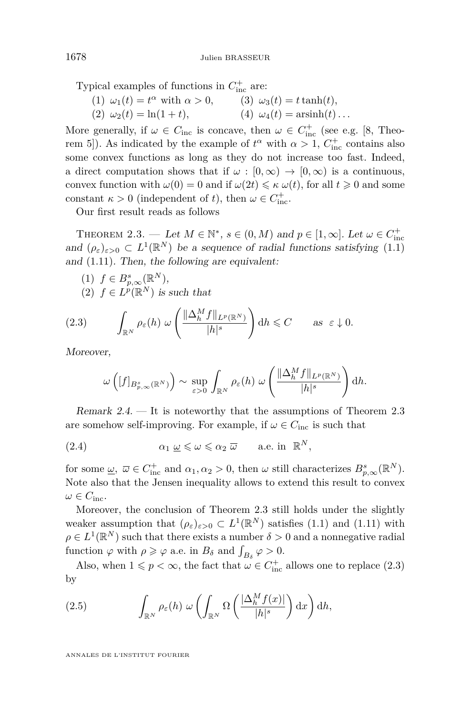Typical examples of functions in  $C_{\text{inc}}^+$  are:

(1)  $\omega_1(t) = t^{\alpha}$  with  $\alpha > 0$ , (2)  $\omega_2(t) = \ln(1+t)$ ,  $\omega_3(t) = t \tanh(t),$  $(4) \omega_4(t) = \operatorname{arsinh}(t) \dots$ 

More generally, if  $\omega \in C_{\text{inc}}$  is concave, then  $\omega \in C_{\text{inc}}^+$  (see e.g. [\[8,](#page-42-8) Theorem 5]). As indicated by the example of  $t^{\alpha}$  with  $\alpha > 1$ ,  $C_{\text{inc}}^{+}$  contains also some convex functions as long as they do not increase too fast. Indeed, a direct computation shows that if  $\omega : [0, \infty) \to [0, \infty)$  is a continuous, convex function with  $\omega(0) = 0$  and if  $\omega(2t) \leq \kappa \omega(t)$ , for all  $t \geq 0$  and some constant  $\kappa > 0$  (independent of *t*), then  $\omega \in C_{\text{inc}}^+$ .

Our first result reads as follows

<span id="page-8-0"></span>THEOREM 2.3. — Let  $M \in \mathbb{N}^*$ ,  $s \in (0, M)$  and  $p \in [1, \infty]$ . Let  $\omega \in C^+_{\text{inc}}$ and  $(\rho_{\varepsilon})_{\varepsilon>0} \subset L^1(\mathbb{R}^N)$  be a sequence of radial functions satisfying [\(1.1\)](#page-1-0) and [\(1.11\)](#page-3-0). Then, the following are equivalent:

(1)  $f \in B_{p,\infty}^s(\mathbb{R}^N)$ , (2)  $f \in L^p(\mathbb{R}^N)$  is such that

<span id="page-8-1"></span>(2.3) 
$$
\int_{\mathbb{R}^N} \rho_{\varepsilon}(h) \ \omega\left(\frac{\|\Delta_h^M f\|_{L^p(\mathbb{R}^N)}}{|h|^s}\right) dh \leqslant C \quad \text{as } \varepsilon \downarrow 0.
$$

Moreover,

$$
\omega\left([f]_{B_{p,\infty}^s(\mathbb{R}^N)}\right) \sim \sup_{\varepsilon>0} \int_{\mathbb{R}^N} \rho_{\varepsilon}(h) \; \omega\left(\frac{\|\Delta_h^M f\|_{L^p(\mathbb{R}^N)}}{|h|^s}\right) dh.
$$

<span id="page-8-3"></span>Remark 2.4. — It is noteworthy that the assumptions of Theorem [2.3](#page-8-0) are somehow self-improving. For example, if  $\omega \in C_{\text{inc}}$  is such that

(2.4) 
$$
\alpha_1 \underline{\omega} \leq \omega \leq \alpha_2 \overline{\omega} \quad \text{a.e. in } \mathbb{R}^N,
$$

for some  $\underline{\omega}$ ,  $\overline{\omega} \in C_{\text{inc}}^+$  and  $\alpha_1, \alpha_2 > 0$ , then  $\omega$  still characterizes  $B_{p,\infty}^s(\mathbb{R}^N)$ . Note also that the Jensen inequality allows to extend this result to convex  $\omega \in C_{\text{inc}}$ .

Moreover, the conclusion of Theorem [2.3](#page-8-0) still holds under the slightly weaker assumption that  $(\rho_{\varepsilon})_{\varepsilon>0} \subset L^1(\mathbb{R}^N)$  satisfies [\(1.1\)](#page-1-0) and [\(1.11\)](#page-3-0) with  $\rho \in L^1(\mathbb{R}^N)$  such that there exists a number  $\delta > 0$  and a nonnegative radial function  $\varphi$  with  $\rho \geqslant \varphi$  a.e. in  $B_{\delta}$  and  $\int_{B_{\delta}} \varphi > 0$ .

Also, when  $1 \leq p < \infty$ , the fact that  $\omega \in C^+_{\text{inc}}$  allows one to replace [\(2.3\)](#page-8-1) by

<span id="page-8-2"></span>(2.5) 
$$
\int_{\mathbb{R}^N} \rho_{\varepsilon}(h) \ \omega \left( \int_{\mathbb{R}^N} \Omega \left( \frac{|\Delta_h^M f(x)|}{|h|^{s}} \right) dx \right) dh,
$$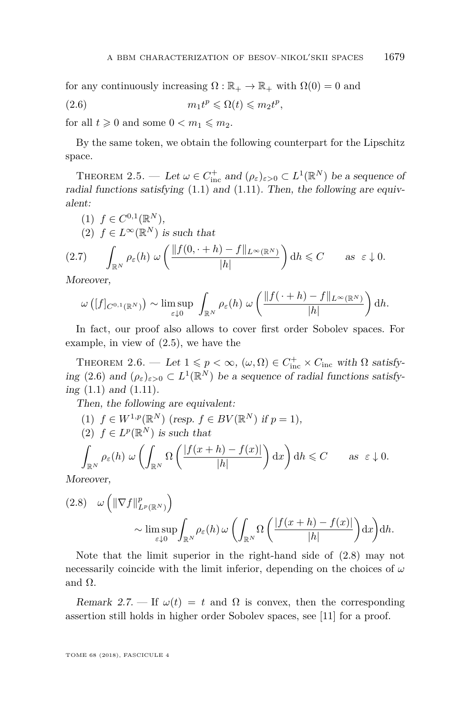for any continuously increasing  $\Omega : \mathbb{R}_+ \to \mathbb{R}_+$  with  $\Omega(0) = 0$  and

<span id="page-9-0"></span>(2.6) 
$$
m_1 t^p \leq \Omega(t) \leq m_2 t^p,
$$

for all  $t \geq 0$  and some  $0 < m_1 \leq m_2$ .

By the same token, we obtain the following counterpart for the Lipschitz space.

<span id="page-9-2"></span>THEOREM 2.5. — Let  $\omega \in C_{\text{inc}}^+$  and  $(\rho_{\varepsilon})_{\varepsilon > 0} \subset L^1(\mathbb{R}^N)$  be a sequence of radial functions satisfying  $(1.1)$  and  $(1.11)$ . Then, the following are equivalent:

(1) 
$$
f \in C^{0,1}(\mathbb{R}^N)
$$
,  
\n(2)  $f \in L^{\infty}(\mathbb{R}^N)$  is such that  
\n(2.7) 
$$
\int_{\mathbb{R}^N} \rho_{\varepsilon}(h) \omega \left( \frac{\|f(0, \cdot + h) - f\|_{L^{\infty}(\mathbb{R}^N)}}{|h|} \right) dh \leq C \quad \text{as } \varepsilon \downarrow 0.
$$

Moreover,

$$
\omega\left([f]_{C^{0,1}(\mathbb{R}^N)}\right) \sim \limsup_{\varepsilon \downarrow 0} \int_{\mathbb{R}^N} \rho_{\varepsilon}(h) \ \omega\left(\frac{\|f(\cdot+h)-f\|_{L^{\infty}(\mathbb{R}^N)}}{|h|}\right) dh.
$$

In fact, our proof also allows to cover first order Sobolev spaces. For example, in view of [\(2.5\)](#page-8-2), we have the

<span id="page-9-3"></span>THEOREM 2.6. — Let  $1 \leq p < \infty$ ,  $(\omega, \Omega) \in C^+_{\text{inc}} \times C_{\text{inc}}$  with  $\Omega$  satisfy-ing [\(2.6\)](#page-9-0) and  $(\rho_{\varepsilon})_{\varepsilon>0} \subset L^1(\mathbb{R}^N)$  be a sequence of radial functions satisfying [\(1.1\)](#page-1-0) and [\(1.11\)](#page-3-0).

Then, the following are equivalent:

(1)  $f \in W^{1,p}(\mathbb{R}^N)$  (resp.  $f \in BV(\mathbb{R}^N)$  if  $p = 1$ ), (2)  $f \in L^p(\mathbb{R}^N)$  is such that ˆ  $\int_{\mathbb{R}^N}\rho_\varepsilon(h) \ \omega\left(\int\right)$  $\int_{\mathbb{R}^N} \Omega \left( \frac{|f(x+h) - f(x)|}{|h|} \right)$ |*h*|  $\int dx \, dt \leqslant C$  as  $\varepsilon \downarrow 0$ .

Moreover,

<span id="page-9-1"></span>
$$
(2.8) \quad \omega \left( \|\nabla f\|_{L^p(\mathbb{R}^N)}^p \right) \sim \limsup_{\varepsilon \downarrow 0} \int_{\mathbb{R}^N} \rho_{\varepsilon}(h) \, \omega \left( \int_{\mathbb{R}^N} \Omega \left( \frac{|f(x+h) - f(x)|}{|h|} \right) dx \right) dh.
$$

Note that the limit superior in the right-hand side of [\(2.8\)](#page-9-1) may not necessarily coincide with the limit inferior, depending on the choices of *ω* and  $Ω$ .

Remark 2.7. — If  $\omega(t) = t$  and  $\Omega$  is convex, then the corresponding assertion still holds in higher order Sobolev spaces, see [\[11\]](#page-43-1) for a proof.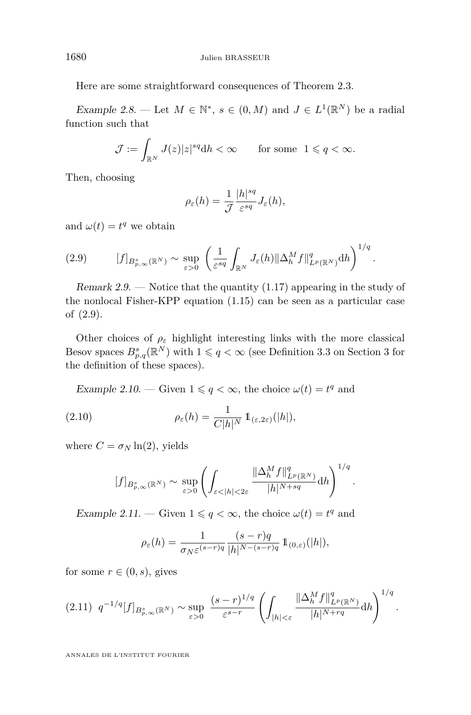Here are some straightforward consequences of Theorem [2.3.](#page-8-0)

Example 2.8. — Let  $M \in \mathbb{N}^*, s \in (0, M)$  and  $J \in L^1(\mathbb{R}^N)$  be a radial function such that

$$
\mathcal{J} := \int_{\mathbb{R}^N} J(z)|z|^{sq} dh < \infty \qquad \text{for some} \ \ 1 \leqslant q < \infty.
$$

Then, choosing

$$
\rho_{\varepsilon}(h) = \frac{1}{\mathcal{J}} \frac{|h|^{sq}}{\varepsilon^{sq}} J_{\varepsilon}(h),
$$

and  $\omega(t) = t^q$  we obtain

<span id="page-10-0"></span>
$$
(2.9) \t\t [f]_{B_{p,\infty}^s(\mathbb{R}^N)} \sim \sup_{\varepsilon>0} \left( \frac{1}{\varepsilon^{sq}} \int_{\mathbb{R}^N} J_{\varepsilon}(h) \|\Delta_h^M f\|_{L^p(\mathbb{R}^N)}^q dh \right)^{1/q}.
$$

Remark 2.9. — Notice that the quantity  $(1.17)$  appearing in the study of the nonlocal Fisher-KPP equation [\(1.15\)](#page-4-2) can be seen as a particular case of [\(2.9\)](#page-10-0).

Other choices of  $\rho_{\varepsilon}$  highlight interesting links with the more classical Besov spaces  $B_{p,q}^s(\mathbb{R}^N)$  with  $1 \leqslant q < \infty$  (see Definition [3.3](#page-15-0) on Section [3](#page-14-0) for the definition of these spaces).

Example 2.10. — Given  $1 \leq q < \infty$ , the choice  $\omega(t) = t^q$  and

<span id="page-10-2"></span>(2.10) 
$$
\rho_{\varepsilon}(h) = \frac{1}{C|h|^N} \mathbb{1}_{(\varepsilon,2\varepsilon)}(|h|),
$$

where  $C = \sigma_N \ln(2)$ , yields

$$
[f]_{B_{p,\infty}^s(\mathbb{R}^N)} \sim \sup_{\varepsilon>0} \left( \int_{\varepsilon<|h|<2\varepsilon} \frac{\|\Delta_h^M f\|_{L^p(\mathbb{R}^N)}^q}{|h|^{N+sq}} dh \right)^{1/q}
$$

*.*

<span id="page-10-1"></span>Example 2.11. — Given  $1 \leq q < \infty$ , the choice  $\omega(t) = t^q$  and

$$
\rho_{\varepsilon}(h) = \frac{1}{\sigma_N \varepsilon^{(s-r)q}} \frac{(s-r)q}{|h|^{N-(s-r)q}} \mathbb{1}_{(0,\varepsilon)}(|h|),
$$

for some  $r \in (0, s)$ , gives

$$
(2.11) \ \ q^{-1/q}[f]_{B_{p,\infty}^s(\mathbb{R}^N)} \sim \sup_{\varepsilon > 0} \ \frac{(s-r)^{1/q}}{\varepsilon^{s-r}} \left( \int_{|h| < \varepsilon} \frac{\|\Delta_h^M f\|_{L^p(\mathbb{R}^N)}^q}{|h|^{N+rq}} \mathrm{d}h \right)^{1/q}.
$$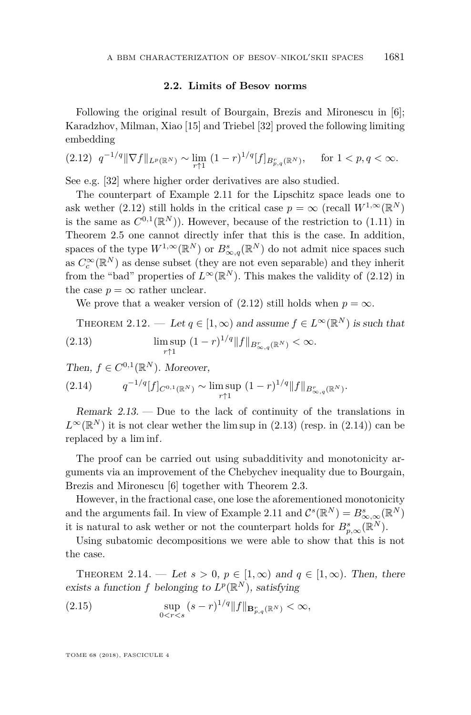#### **2.2. Limits of Besov norms**

Following the original result of Bourgain, Brezis and Mironescu in [\[6\]](#page-42-0); Karadzhov, Milman, Xiao [\[15\]](#page-43-5) and Triebel [\[32\]](#page-43-8) proved the following limiting embedding

<span id="page-11-1"></span>
$$
(2.12) \ \ q^{-1/q} \|\nabla f\|_{L^p(\mathbb{R}^N)} \sim \lim_{r \uparrow 1} \ (1-r)^{1/q} [f]_{B^r_{p,q}(\mathbb{R}^N)}, \quad \text{ for } 1 < p, q < \infty.
$$

See e.g. [\[32\]](#page-43-8) where higher order derivatives are also studied.

The counterpart of Example [2.11](#page-10-1) for the Lipschitz space leads one to ask wether [\(2.12\)](#page-11-1) still holds in the critical case  $p = \infty$  (recall  $W^{1,\infty}(\mathbb{R}^N)$ is the same as  $C^{0,1}(\mathbb{R}^N)$ . However, because of the restriction to [\(1.11\)](#page-3-0) in Theorem [2.5](#page-9-2) one cannot directly infer that this is the case. In addition, spaces of the type  $W^{1,\infty}(\mathbb{R}^N)$  or  $B^s_{\infty,q}(\mathbb{R}^N)$  do not admit nice spaces such as  $C_c^{\infty}(\mathbb{R}^N)$  as dense subset (they are not even separable) and they inherit from the "bad" properties of  $L^{\infty}(\mathbb{R}^N)$ . This makes the validity of [\(2.12\)](#page-11-1) in the case  $p = \infty$  rather unclear.

We prove that a weaker version of  $(2.12)$  still holds when  $p = \infty$ .

<span id="page-11-2"></span><span id="page-11-0"></span>THEOREM 2.12. — Let 
$$
q \in [1, \infty)
$$
 and assume  $f \in L^{\infty}(\mathbb{R}^N)$  is such that  
\n(2.13) 
$$
\limsup_{r \uparrow 1} (1-r)^{1/q} ||f||_{B_{\infty,q}^r(\mathbb{R}^N)} < \infty.
$$

Then,  $f \in C^{0,1}(\mathbb{R}^N)$ . Moreover,

<span id="page-11-3"></span>
$$
(2.14) \tq^{-1/q}[f]_{C^{0,1}(\mathbb{R}^N)} \sim \limsup_{r \uparrow 1} (1-r)^{1/q} ||f||_{B^r_{\infty,q}(\mathbb{R}^N)}.
$$

Remark  $2.13.$  — Due to the lack of continuity of the translations in  $L^{\infty}(\mathbb{R}^N)$  it is not clear wether the lim sup in [\(2.13\)](#page-11-2) (resp. in [\(2.14\)](#page-11-3)) can be replaced by a lim inf.

The proof can be carried out using subadditivity and monotonicity arguments via an improvement of the Chebychev inequality due to Bourgain, Brezis and Mironescu [\[6\]](#page-42-0) together with Theorem [2.3.](#page-8-0)

However, in the fractional case, one lose the aforementioned monotonicity and the arguments fail. In view of Example [2.11](#page-10-1) and  $C^{s}(\mathbb{R}^{N}) = B^{s}_{\infty,\infty}(\mathbb{R}^{N})$ it is natural to ask wether or not the counterpart holds for  $B_{p,\infty}^s(\mathbb{R}^N)$ .

Using subatomic decompositions we were able to show that this is not the case.

<span id="page-11-4"></span>THEOREM 2.14. — Let  $s > 0$ ,  $p \in [1, \infty)$  and  $q \in [1, \infty)$ . Then, there exists a function *f* belonging to  $L^p(\mathbb{R}^N)$ , satisfying

(2.15) 
$$
\sup_{0 < r < s} (s-r)^{1/q} ||f||_{\mathbf{B}_{p,q}^r(\mathbb{R}^N)} < \infty,
$$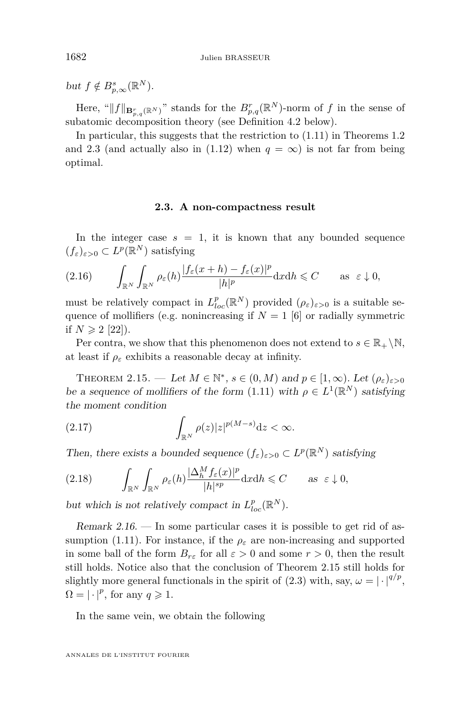$but f \notin B_{p,\infty}^{s}(\mathbb{R}^{N}).$ 

Here, " $||f||_{\mathbf{B}_{p,q}^r(\mathbb{R}^N)}$ " stands for the  $B_{p,q}^r(\mathbb{R}^N)$ -norm of *f* in the sense of subatomic decomposition theory (see Definition [4.2](#page-17-0) below).

In particular, this suggests that the restriction to [\(1.11\)](#page-3-0) in Theorems [1.2](#page-4-0) and [2.3](#page-8-0) (and actually also in [\(1.12\)](#page-3-3) when  $q = \infty$ ) is not far from being optimal.

#### **2.3. A non-compactness result**

In the integer case  $s = 1$ , it is known that any bounded sequence  $(f_{\varepsilon})_{\varepsilon>0} \subset L^p(\mathbb{R}^N)$  satisfying

$$
(2.16)\qquad \int_{\mathbb{R}^N} \int_{\mathbb{R}^N} \rho_{\varepsilon}(h) \frac{|f_{\varepsilon}(x+h) - f_{\varepsilon}(x)|^p}{|h|^p} \mathrm{d}x \mathrm{d}h \leqslant C \qquad \text{as } \varepsilon \downarrow 0,
$$

must be relatively compact in  $L_{loc}^p(\mathbb{R}^N)$  provided  $(\rho_{\varepsilon})_{\varepsilon>0}$  is a suitable sequence of mollifiers (e.g. nonincreasing if  $N = 1$  [\[6\]](#page-42-0) or radially symmetric if  $N \geq 2$  [\[22\]](#page-43-2)).

Per contra, we show that this phenomenon does not extend to  $s \in \mathbb{R}_+ \backslash \mathbb{N}$ , at least if  $\rho_{\varepsilon}$  exhibits a reasonable decay at infinity.

<span id="page-12-0"></span>THEOREM 2.15. — Let  $M \in \mathbb{N}^*$ ,  $s \in (0, M)$  and  $p \in [1, \infty)$ . Let  $(\rho_{\varepsilon})_{\varepsilon > 0}$ be a sequence of mollifiers of the form [\(1.11\)](#page-3-0) with  $\rho \in L^1(\mathbb{R}^N)$  satisfying the moment condition

(2.17) 
$$
\int_{\mathbb{R}^N} \rho(z)|z|^{p(M-s)} dz < \infty.
$$

Then, there exists a bounded sequence  $(f_{\varepsilon})_{\varepsilon>0} \subset L^p(\mathbb{R}^N)$  satisfying

$$
(2.18) \qquad \int_{\mathbb{R}^N} \int_{\mathbb{R}^N} \rho_{\varepsilon}(h) \frac{|\Delta_h^M f_{\varepsilon}(x)|^p}{|h|^{sp}} \mathrm{d}x \mathrm{d}h \leqslant C \qquad \text{as } \varepsilon \downarrow 0,
$$

but which is not relatively compact in  $L_{loc}^p(\mathbb{R}^N)$ .

Remark  $2.16$ . — In some particular cases it is possible to get rid of as-sumption [\(1.11\)](#page-3-0). For instance, if the  $\rho_{\varepsilon}$  are non-increasing and supported in some ball of the form  $B_{r\epsilon}$  for all  $\varepsilon > 0$  and some  $r > 0$ , then the result still holds. Notice also that the conclusion of Theorem [2.15](#page-12-0) still holds for slightly more general functionals in the spirit of [\(2.3\)](#page-8-1) with, say,  $\omega = |\cdot|^{q/p}$ ,  $\Omega = |\cdot|^p$ , for any  $q \geq 1$ .

In the same vein, we obtain the following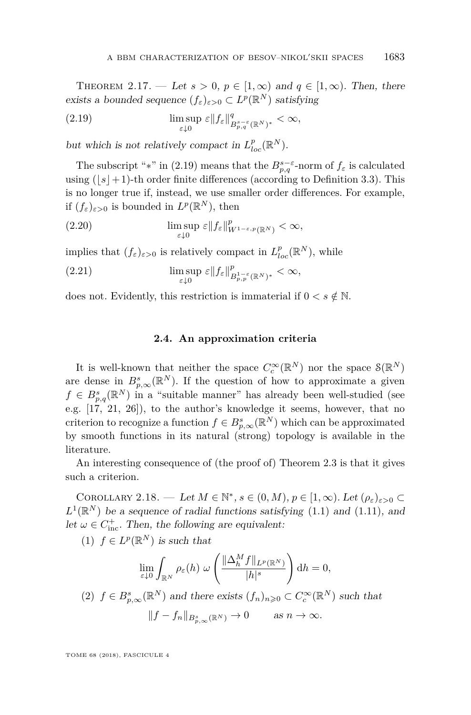<span id="page-13-3"></span>THEOREM 2.17. — Let  $s > 0$ ,  $p \in [1,\infty)$  and  $q \in [1,\infty)$ . Then, there exists a bounded sequence  $(f_{\varepsilon})_{\varepsilon>0} \subset L^p(\mathbb{R}^N)$  satisfying

<span id="page-13-0"></span>(2.19) 
$$
\limsup_{\varepsilon \downarrow 0} \varepsilon \|f_{\varepsilon}\|_{B^{s-\varepsilon}_{p,q}(\mathbb{R}^N)^*}^q < \infty,
$$

but which is not relatively compact in  $L_{loc}^p(\mathbb{R}^N)$ .

The subscript "\*" in [\(2.19\)](#page-13-0) means that the  $B_{p,q}^{s-\varepsilon}$ -norm of  $f_{\varepsilon}$  is calculated using  $(|s|+1)$ -th order finite differences (according to Definition [3.3\)](#page-15-0). This is no longer true if, instead, we use smaller order differences. For example, if  $(f_{\varepsilon})_{\varepsilon>0}$  is bounded in  $L^p(\mathbb{R}^N)$ , then

(2.20) 
$$
\limsup_{\varepsilon \downarrow 0} \varepsilon \|f_{\varepsilon}\|_{W^{1-\varepsilon,p}(\mathbb{R}^N)}^p < \infty,
$$

implies that  $(f_{\varepsilon})_{\varepsilon>0}$  is relatively compact in  $L_{loc}^p(\mathbb{R}^N)$ , while

(2.21) 
$$
\limsup_{\varepsilon \downarrow 0} \varepsilon \|f_{\varepsilon}\|_{B_{p,p}^{1-\varepsilon}(\mathbb{R}^N)^*}^p < \infty,
$$

does not. Evidently, this restriction is immaterial if  $0 < s \notin \mathbb{N}$ .

#### **2.4. An approximation criteria**

It is well-known that neither the space  $C_c^{\infty}(\mathbb{R}^N)$  nor the space  $\mathcal{S}(\mathbb{R}^N)$ are dense in  $B_{p,\infty}^s(\mathbb{R}^N)$ . If the question of how to approximate a given  $f \in B_{p,q}^{s}(\mathbb{R}^{N})$  in a "suitable manner" has already been well-studied (see e.g. [\[17,](#page-43-13) [21,](#page-43-14) [26\]](#page-43-15)), to the author's knowledge it seems, however, that no criterion to recognize a function  $f \in B_{p,\infty}^{s}(\mathbb{R}^{N})$  which can be approximated by smooth functions in its natural (strong) topology is available in the literature.

An interesting consequence of (the proof of) Theorem [2.3](#page-8-0) is that it gives such a criterion.

<span id="page-13-1"></span>COROLLARY 2.18. — Let  $M \in \mathbb{N}^*, s \in (0, M), p \in [1, \infty)$ . Let  $(\rho_{\varepsilon})_{\varepsilon > 0} \subset$  $L^1(\mathbb{R}^N)$  be a sequence of radial functions satisfying [\(1.1\)](#page-1-0) and [\(1.11\)](#page-3-0), and let  $\omega \in C^+_{\text{inc}}$ . Then, the following are equivalent:

(1)  $f \in L^p(\mathbb{R}^N)$  is such that

$$
\lim_{\varepsilon \downarrow 0} \int_{\mathbb{R}^N} \rho_{\varepsilon}(h) \ \omega \left( \frac{\|\Delta_h^M f\|_{L^p(\mathbb{R}^N)}}{|h|^s} \right) dh = 0,
$$

<span id="page-13-2"></span>(2) 
$$
f \in B_{p,\infty}^s(\mathbb{R}^N)
$$
 and there exists  $(f_n)_{n\geqslant 0} \subset C_c^{\infty}(\mathbb{R}^N)$  such that  

$$
||f - f_n||_{B_{p,\infty}^s(\mathbb{R}^N)} \to 0 \quad \text{as } n \to \infty.
$$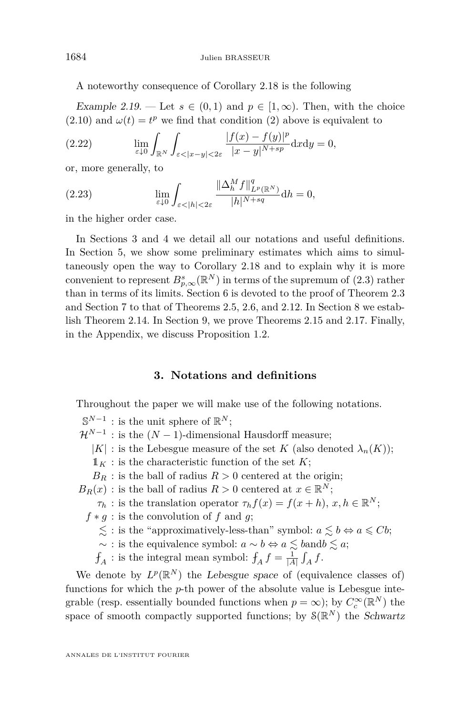A noteworthy consequence of Corollary [2.18](#page-13-1) is the following

Example 2.19. — Let  $s \in (0,1)$  and  $p \in [1,\infty)$ . Then, with the choice  $(2.10)$  and  $\omega(t) = t^p$  we find that condition [\(2\)](#page-13-2) above is equivalent to

(2.22) 
$$
\lim_{\varepsilon \downarrow 0} \int_{\mathbb{R}^N} \int_{\varepsilon < |x-y| < 2\varepsilon} \frac{|f(x) - f(y)|^p}{|x-y|^{N+sp}} dx dy = 0,
$$

or, more generally, to

(2.23) 
$$
\lim_{\varepsilon \downarrow 0} \int_{\varepsilon < |h| < 2\varepsilon} \frac{\|\Delta_h^M f\|_{L^p(\mathbb{R}^N)}^q}{|h|^{N+sq}} \mathrm{d}h = 0,
$$

in the higher order case.

In Sections [3](#page-14-0) and [4](#page-16-0) we detail all our notations and useful definitions. In Section [5,](#page-18-0) we show some preliminary estimates which aims to simultaneously open the way to Corollary [2.18](#page-13-1) and to explain why it is more convenient to represent  $B_{p,\infty}^{s}(\mathbb{R}^{N})$  in terms of the supremum of  $(2.3)$  rather than in terms of its limits. Section [6](#page-21-0) is devoted to the proof of Theorem [2.3](#page-8-0) and Section [7](#page-32-1) to that of Theorems [2.5,](#page-9-2) [2.6,](#page-9-3) and [2.12.](#page-11-0) In Section [8](#page-35-0) we establish Theorem [2.14.](#page-11-4) In Section [9,](#page-38-0) we prove Theorems [2.15](#page-12-0) and [2.17.](#page-13-3) Finally, in the Appendix, we discuss Proposition [1.2.](#page-4-0)

#### **3. Notations and definitions**

<span id="page-14-0"></span>Throughout the paper we will make use of the following notations.

 $\mathbb{S}^{N-1}$  : is the unit sphere of  $\mathbb{R}^N$ ;

- $\mathcal{H}^{N-1}$  : is the  $(N-1)$ -dimensional Hausdorff measure;
	- |*K*| : is the Lebesgue measure of the set *K* (also denoted  $\lambda_n(K)$ );
	- $\mathbb{1}_K$ : is the characteristic function of the set *K*;
	- $B_R$ : is the ball of radius  $R > 0$  centered at the origin;
- $B_R(x)$ : is the ball of radius  $R > 0$  centered at  $x \in \mathbb{R}^N$ ;
	- *τ*<sub>*h*</sub> : is the translation operator  $\tau_h f(x) = f(x+h), x, h \in \mathbb{R}^N$ ;
	- $f * g$ : is the convolution of *f* and *g*;
		- $\lesssim$ : is the "approximatively-less-than" symbol:  $a \lesssim b \Leftrightarrow a \leq Cb$ ;
		- $\sim$  : is the equivalence symbol:  $a \sim b \Leftrightarrow a \lesssim b$ and $b \lesssim a$ ;
		- $f_A$ : is the integral mean symbol:  $f_A f = \frac{1}{|A|} \int_A f$ .

We denote by  $L^p(\mathbb{R}^N)$  the Lebesgue space of (equivalence classes of) functions for which the *p*-th power of the absolute value is Lebesgue integrable (resp. essentially bounded functions when  $p = \infty$ ); by  $C_c^{\infty}(\mathbb{R}^N)$  the space of smooth compactly supported functions; by  $\mathcal{S}(\mathbb{R}^N)$  the Schwartz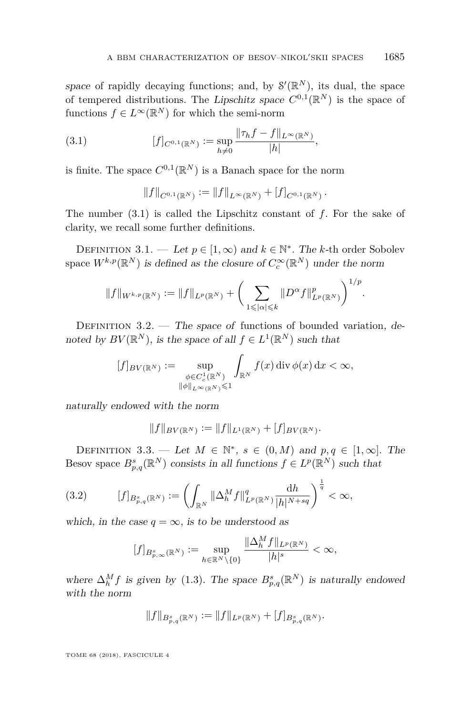space of rapidly decaying functions; and, by  $\mathcal{S}'(\mathbb{R}^N)$ , its dual, the space of tempered distributions. The Lipschitz space  $C^{0,1}(\mathbb{R}^N)$  is the space of functions  $f \in L^{\infty}(\mathbb{R}^N)$  for which the semi-norm

<span id="page-15-1"></span>(3.1) 
$$
[f]_{C^{0,1}(\mathbb{R}^N)} := \sup_{h \neq 0} \frac{\|\tau_h f - f\|_{L^{\infty}(\mathbb{R}^N)}}{|h|},
$$

is finite. The space  $C^{0,1}(\mathbb{R}^N)$  is a Banach space for the norm

$$
||f||_{C^{0,1}(\mathbb{R}^N)} := ||f||_{L^{\infty}(\mathbb{R}^N)} + [f]_{C^{0,1}(\mathbb{R}^N)}.
$$

The number [\(3.1\)](#page-15-1) is called the Lipschitz constant of *f*. For the sake of clarity, we recall some further definitions.

DEFINITION 3.1. — Let  $p \in [1, \infty)$  and  $k \in \mathbb{N}^*$ . The *k*-th order Sobolev space  $W^{k,p}(\mathbb{R}^N)$  is defined as the closure of  $C_c^{\infty}(\mathbb{R}^N)$  under the norm

$$
||f||_{W^{k,p}(\mathbb{R}^N)} := ||f||_{L^p(\mathbb{R}^N)} + \left(\sum_{1 \leq |\alpha| \leq k} ||D^{\alpha} f||_{L^p(\mathbb{R}^N)}^p\right)^{1/p}
$$

*.*

DEFINITION  $3.2.$  — The space of functions of bounded variation, denoted by  $BV(\mathbb{R}^N)$ , is the space of all  $f \in L^1(\mathbb{R}^N)$  such that

$$
[f]_{BV(\mathbb{R}^N)} := \sup_{\substack{\phi \in C_c^1(\mathbb{R}^N) \\ \|\phi\|_{L^\infty(\mathbb{R}^N)} \leq 1}} \int_{\mathbb{R}^N} f(x) \operatorname{div} \phi(x) \, dx < \infty,
$$

naturally endowed with the norm

$$
||f||_{BV(\mathbb{R}^N)} := ||f||_{L^1(\mathbb{R}^N)} + [f]_{BV(\mathbb{R}^N)}.
$$

<span id="page-15-0"></span>DEFINITION 3.3. — Let  $M \in \mathbb{N}^*$ ,  $s \in (0, M)$  and  $p, q \in [1, \infty]$ . The Besov space  $B_{p,q}^s(\mathbb{R}^N)$  consists in all functions  $f \in L^p(\mathbb{R}^N)$  such that

<span id="page-15-2"></span>
$$
(3.2) \t\t [f]_{B_{p,q}^s(\mathbb{R}^N)} := \left(\int_{\mathbb{R}^N} \|\Delta_h^M f\|_{L^p(\mathbb{R}^N)}^q \frac{\mathrm{d}h}{|h|^{N+sq}}\right)^{\frac{1}{q}} < \infty,
$$

which, in the case  $q = \infty$ , is to be understood as

$$
[f]_{B_{p,\infty}^s(\mathbb{R}^N)}:=\sup_{h\in\mathbb{R}^N\backslash\{0\}}\frac{\|\Delta_h^Mf\|_{L^p(\mathbb{R}^N)}}{|h|^s}<\infty,
$$

where  $\Delta_h^M f$  is given by [\(1.3\)](#page-2-3). The space  $B_{p,q}^s(\mathbb{R}^N)$  is naturally endowed with the norm

$$
||f||_{B_{p,q}^{s}(\mathbb{R}^N)} := ||f||_{L^p(\mathbb{R}^N)} + [f]_{B_{p,q}^{s}(\mathbb{R}^N)}.
$$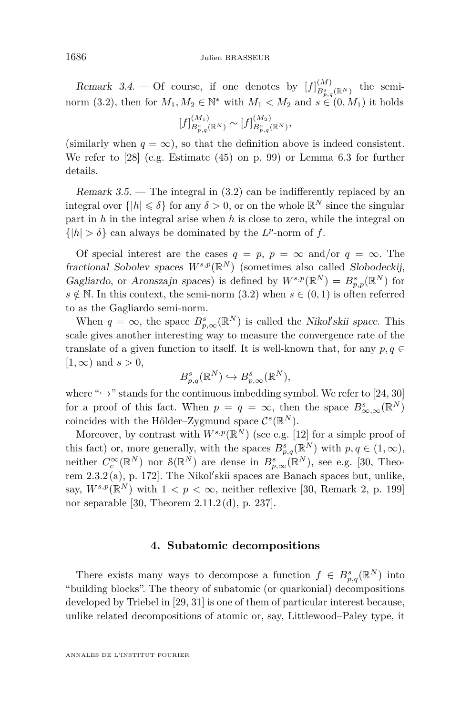Remark 3.4. – Of course, if one denotes by  $[f]_{R^s}^{(M)}$  $B_{p,q}^s(\mathbb{R}^N)$  the semi-norm [\(3.2\)](#page-15-2), then for  $M_1, M_2 \in \mathbb{N}^*$  with  $M_1 \lt M_2$  and  $s \in (0, M_1)$  it holds

$$
[f]_{B_{p,q}^s(\mathbb{R}^N)}^{(M_1)} \sim [f]_{B_{p,q}^s(\mathbb{R}^N)}^{(M_2)},
$$

(similarly when  $q = \infty$ ), so that the definition above is indeed consistent. We refer to [\[28\]](#page-43-16) (e.g. Estimate (45) on p. 99) or Lemma [6.3](#page-23-0) for further details.

Remark  $3.5$ . — The integral in  $(3.2)$  can be indifferently replaced by an integral over  $\{|h| \leq \delta\}$  for any  $\delta > 0$ , or on the whole  $\mathbb{R}^N$  since the singular part in *h* in the integral arise when *h* is close to zero, while the integral on  $\{|h| > \delta\}$  can always be dominated by the *L*<sup>*p*</sup>-norm of *f*.

Of special interest are the cases  $q = p$ ,  $p = \infty$  and/or  $q = \infty$ . The fractional Sobolev spaces  $W^{s,p}(\mathbb{R}^N)$  (sometimes also called Slobodeckij, Gagliardo, or Aronszajn spaces) is defined by  $W^{s,p}(\mathbb{R}^N) = B^s_{p,p}(\mathbb{R}^N)$  for *s* ∉ N. In this context, the semi-norm [\(3.2\)](#page-15-2) when  $s \in (0,1)$  is often referred to as the Gagliardo semi-norm.

When  $q = \infty$ , the space  $B_{p,\infty}^s(\mathbb{R}^N)$  is called the *Nikol'skii space*. This scale gives another interesting way to measure the convergence rate of the translate of a given function to itself. It is well-known that, for any  $p, q \in$  $[1, \infty)$  and  $s > 0$ ,

$$
B_{p,q}^{s}(\mathbb{R}^{N}) \hookrightarrow B_{p,\infty}^{s}(\mathbb{R}^{N}),
$$

where " $\hookrightarrow$ " stands for the continuous imbedding symbol. We refer to [\[24,](#page-43-17) [30\]](#page-43-18) for a proof of this fact. When  $p = q = \infty$ , then the space  $B^s_{\infty,\infty}(\mathbb{R}^N)$ coincides with the Hölder-Zygmund space  $C^{s}(\mathbb{R}^{N})$ .

Moreover, by contrast with  $W^{s,p}(\mathbb{R}^N)$  (see e.g. [\[12\]](#page-43-19) for a simple proof of this fact) or, more generally, with the spaces  $B_{p,q}^s(\mathbb{R}^N)$  with  $p,q \in (1,\infty)$ , neither  $C_c^{\infty}(\mathbb{R}^N)$  nor  $\mathcal{S}(\mathbb{R}^N)$  are dense in  $B_{p,\infty}^s(\mathbb{R}^N)$ , see e.g. [\[30,](#page-43-18) Theorem  $2.3.2(a)$ , p. 172. The Nikol'skii spaces are Banach spaces but, unlike, say,  $W^{s,p}(\mathbb{R}^N)$  with  $1 < p < \infty$ , neither reflexive [\[30,](#page-43-18) Remark 2, p. 199] nor separable [\[30,](#page-43-18) Theorem 2.11.2 (d), p. 237].

#### **4. Subatomic decompositions**

<span id="page-16-0"></span>There exists many ways to decompose a function  $f \in B_{p,q}^{s}(\mathbb{R}^N)$  into "building blocks". The theory of subatomic (or quarkonial) decompositions developed by Triebel in [\[29,](#page-43-20) [31\]](#page-43-21) is one of them of particular interest because, unlike related decompositions of atomic or, say, Littlewood–Paley type, it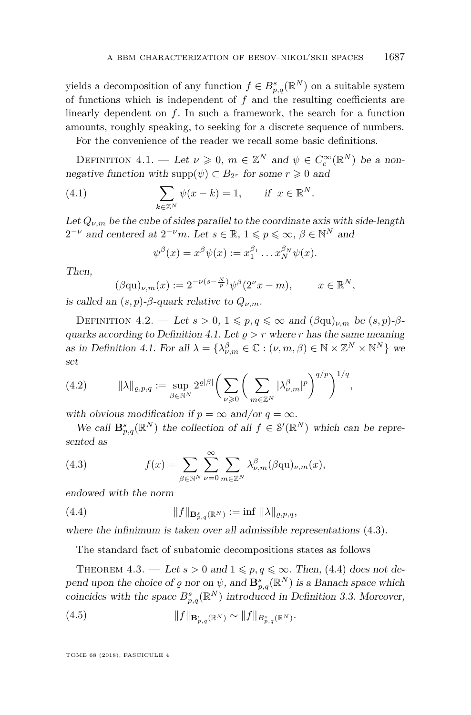yields a decomposition of any function  $f \in B_{p,q}^{s}(\mathbb{R}^N)$  on a suitable system of functions which is independent of *f* and the resulting coefficients are linearly dependent on *f*. In such a framework, the search for a function amounts, roughly speaking, to seeking for a discrete sequence of numbers.

For the convenience of the reader we recall some basic definitions.

<span id="page-17-1"></span>DEFINITION 4.1. — Let  $\nu \geq 0$ ,  $m \in \mathbb{Z}^N$  and  $\psi \in C_c^{\infty}(\mathbb{R}^N)$  be a nonnegative function with  $\text{supp}(\psi) \subset B_{2^r}$  for some  $r \geq 0$  and

(4.1) 
$$
\sum_{k \in \mathbb{Z}^N} \psi(x - k) = 1, \quad \text{if } x \in \mathbb{R}^N.
$$

Let  $Q_{\nu,m}$  be the cube of sides parallel to the coordinate axis with side-length  $2^{-\nu}$  and centered at  $2^{-\nu}m$ . Let  $s \in \mathbb{R}$ ,  $1 \leqslant p \leqslant \infty$ ,  $\beta \in \mathbb{N}^N$  and

$$
\psi^{\beta}(x) = x^{\beta}\psi(x) := x_1^{\beta_1} \dots x_N^{\beta_N} \psi(x).
$$

Then,

$$
(\beta \mathrm{qu})_{\nu,m}(x) := 2^{-\nu(s-\frac{N}{p})} \psi^{\beta}(2^{\nu}x - m), \qquad x \in \mathbb{R}^N,
$$

is called an  $(s, p)$ - $\beta$ -quark relative to  $Q_{\nu,m}$ .

*ψ*

<span id="page-17-0"></span>DEFINITION 4.2. — Let  $s > 0$ ,  $1 \leqslant p, q \leqslant \infty$  and  $(\beta q u)_{\nu,m}$  be  $(s, p)$ - $\beta$ -quarks according to Definition [4.1.](#page-17-1) Let  $\rho > r$  where *r* has the same meaning as in Definition [4.1.](#page-17-1) For all  $\lambda = \{\lambda_{\nu,m}^{\beta} \in \mathbb{C} : (\nu,m,\beta) \in \mathbb{N} \times \mathbb{Z}^N \times \mathbb{N}^N\}$  we set

(4.2) 
$$
\|\lambda\|_{\varrho,p,q} := \sup_{\beta \in \mathbb{N}^N} 2^{\varrho|\beta|} \bigg( \sum_{\nu \geq 0} \bigg( \sum_{m \in \mathbb{Z}^N} |\lambda_{\nu,m}^{\beta}|^p \bigg)^{q/p} \bigg)^{1/q},
$$

with obvious modification if  $p = \infty$  and/or  $q = \infty$ .

We call  $\mathbf{B}_{p,q}^{s}(\mathbb{R}^{N})$  the collection of all  $f \in \mathcal{S}'(\mathbb{R}^{N})$  which can be represented as

<span id="page-17-2"></span>(4.3) 
$$
f(x) = \sum_{\beta \in \mathbb{N}^N} \sum_{\nu=0}^{\infty} \sum_{m \in \mathbb{Z}^N} \lambda_{\nu,m}^{\beta} (\beta qu)_{\nu,m}(x),
$$

<span id="page-17-3"></span>endowed with the norm

(4.4) 
$$
||f||_{\mathbf{B}_{p,q}^{s}(\mathbb{R}^{N})} := \inf ||\lambda||_{\varrho,p,q},
$$

where the infinimum is taken over all admissible representations  $(4.3)$ .

The standard fact of subatomic decompositions states as follows

<span id="page-17-4"></span>THEOREM 4.3. — Let  $s > 0$  and  $1 \leqslant p, q \leqslant \infty$ . Then, [\(4.4\)](#page-17-3) does not depend upon the choice of  $\varrho$  nor on  $\psi$ , and  $\mathbf{B}_{p,q}^{s}(\mathbb{R}^N)$  is a Banach space which coincides with the space  $B_{p,q}^s(\mathbb{R}^N)$  introduced in Definition [3.3.](#page-15-0) Moreover,

(4.5) 
$$
||f||_{\mathbf{B}_{p,q}^{s}(\mathbb{R}^{N})} \sim ||f||_{B_{p,q}^{s}(\mathbb{R}^{N})}.
$$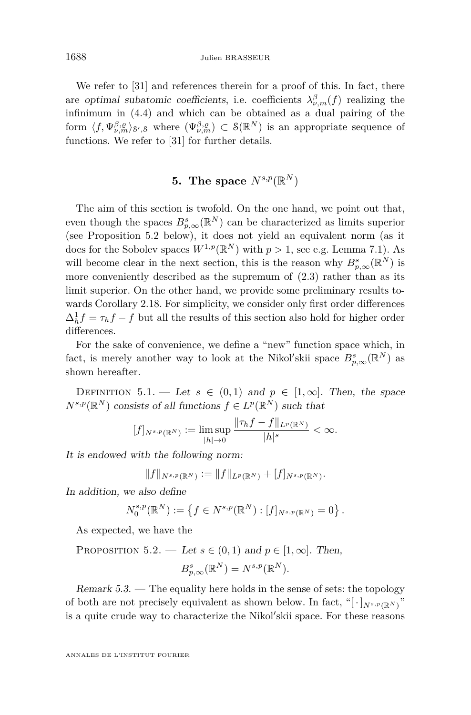We refer to [\[31\]](#page-43-21) and references therein for a proof of this. In fact, there are optimal subatomic coefficients, i.e. coefficients  $\lambda^{\beta}_{\nu,m}(f)$  realizing the infinimum in [\(4.4\)](#page-17-3) and which can be obtained as a dual pairing of the form  $\langle f, \Psi_{\nu,m}^{\beta,\varrho} \rangle_{\mathcal{S}',\mathcal{S}}$  where  $(\Psi_{\nu,m}^{\beta,\varrho}) \subset \mathcal{S}(\mathbb{R}^N)$  is an appropriate sequence of functions. We refer to [\[31\]](#page-43-21) for further details.

### **5.** The space  $N^{s,p}(\mathbb{R}^N)$

<span id="page-18-0"></span>The aim of this section is twofold. On the one hand, we point out that, even though the spaces  $B_{p,\infty}^s(\mathbb{R}^N)$  can be characterized as limits superior (see Proposition [5.2](#page-18-1) below), it does not yield an equivalent norm (as it does for the Sobolev spaces  $W^{1,p}(\mathbb{R}^N)$  with  $p > 1$ , see e.g. Lemma [7.1\)](#page-32-0). As will become clear in the next section, this is the reason why  $B_{p,\infty}^s(\mathbb{R}^N)$  is more conveniently described as the supremum of  $(2.3)$  rather than as its limit superior. On the other hand, we provide some preliminary results towards Corollary [2.18.](#page-13-1) For simplicity, we consider only first order differences  $\Delta_h^1 f = \tau_h f - f$  but all the results of this section also hold for higher order differences.

For the sake of convenience, we define a "new" function space which, in fact, is merely another way to look at the Nikol'skii space  $B_{p,\infty}^s(\mathbb{R}^N)$  as shown hereafter.

DEFINITION 5.1. — Let  $s \in (0,1)$  and  $p \in [1,\infty]$ . Then, the space  $N^{s,p}(\mathbb{R}^N)$  consists of all functions  $f \in L^p(\mathbb{R}^N)$  such that

$$
[f]_{N^{s,p}(\mathbb{R}^N)} := \limsup_{|h| \to 0} \frac{\|\tau_h f - f\|_{L^p(\mathbb{R}^N)}}{|h|^s} < \infty.
$$

It is endowed with the following norm:

 $||f||_{N^{s,p}(\mathbb{R}^N)} := ||f||_{L^p(\mathbb{R}^N)} + [f]_{N^{s,p}(\mathbb{R}^N)}.$ 

In addition, we also define

$$
N_0^{s,p}(\mathbb{R}^N):=\left\{f\in N^{s,p}(\mathbb{R}^N): [f]_{N^{s,p}(\mathbb{R}^N)}=0\right\}.
$$

As expected, we have the

<span id="page-18-1"></span>PROPOSITION 5.2. — Let 
$$
s \in (0,1)
$$
 and  $p \in [1,\infty]$ . Then,  

$$
B_{p,\infty}^s(\mathbb{R}^N) = N^{s,p}(\mathbb{R}^N).
$$

Remark 5.3. — The equality here holds in the sense of sets: the topology of both are not precisely equivalent as shown below. In fact, " $\left[\cdot\right]_{N^{s,p}(\mathbb{R}^N)}$ " is a quite crude way to characterize the Nikol'skii space. For these reasons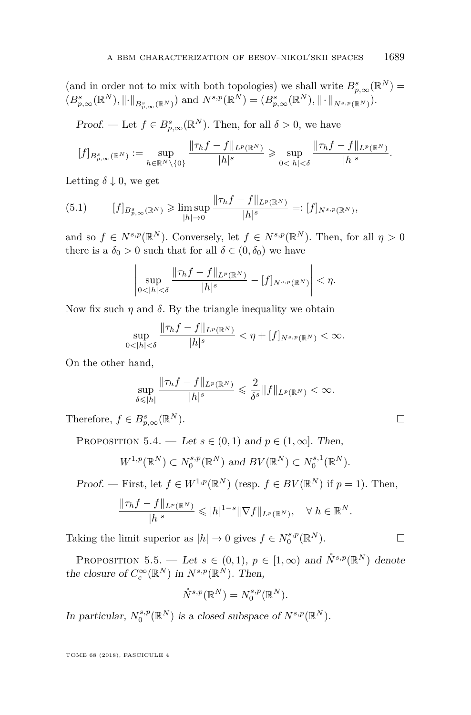(and in order not to mix with both topologies) we shall write  $B_{p,\infty}^s(\mathbb{R}^N)$  =  $(B^{s}_{p,\infty}(\mathbb{R}^{N}), \|\cdot\|_{B^{s}_{p,\infty}(\mathbb{R}^{N})})$  and  $N^{s,p}(\mathbb{R}^{N}) = (B^{s}_{p,\infty}(\mathbb{R}^{N}), \|\cdot\|_{N^{s,p}(\mathbb{R}^{N})}).$ 

*Proof.* — Let  $f \in B_{p,\infty}^s(\mathbb{R}^N)$ . Then, for all  $\delta > 0$ , we have

$$
[f]_{B_{p,\infty}^s(\mathbb{R}^N)} := \sup_{h \in \mathbb{R}^N \setminus \{0\}} \frac{\|\tau_h f - f\|_{L^p(\mathbb{R}^N)}}{|h|^s} \geqslant \sup_{0 < |h| < \delta} \frac{\|\tau_h f - f\|_{L^p(\mathbb{R}^N)}}{|h|^s}.
$$

Letting  $\delta \downarrow 0$ , we get

<span id="page-19-0"></span>
$$
(5.1) \t\t [f]_{B_{p,\infty}^s(\mathbb{R}^N)} \geq \limsup_{|h| \to 0} \frac{\|\tau_h f - f\|_{L^p(\mathbb{R}^N)}}{|h|^s} =: [f]_{N^{s,p}(\mathbb{R}^N)},
$$

and so  $f \in N^{s,p}(\mathbb{R}^N)$ . Conversely, let  $f \in N^{s,p}(\mathbb{R}^N)$ . Then, for all  $\eta > 0$ there is a  $\delta_0 > 0$  such that for all  $\delta \in (0, \delta_0)$  we have

$$
\left|\sup_{0<|h|<\delta}\frac{\|\tau_hf-f\|_{L^p(\mathbb{R}^N)}}{|h|^s}-[f]_{N^{s,p}(\mathbb{R}^N)}\right|<\eta.
$$

Now fix such  $\eta$  and  $\delta$ . By the triangle inequality we obtain

$$
\sup_{0<|h|<\delta} \frac{\|\tau_h f - f\|_{L^p(\mathbb{R}^N)}}{|h|^s} < \eta + [f]_{N^{s,p}(\mathbb{R}^N)} < \infty.
$$

On the other hand,

$$
\sup_{\delta \leqslant |h|} \frac{\|\tau_h f - f\|_{L^p(\mathbb{R}^N)}}{|h|^s} \leqslant \frac{2}{\delta^s} \|f\|_{L^p(\mathbb{R}^N)} < \infty.
$$

Therefore,  $f \in B_{p,\infty}^s(\mathbb{R})$  $^{N}$ ).

PROPOSITION 5.4. — Let  $s \in (0,1)$  and  $p \in (1,\infty]$ . Then,

$$
W^{1,p}(\mathbb{R}^N) \subset N_0^{s,p}(\mathbb{R}^N) \text{ and } BV(\mathbb{R}^N) \subset N_0^{s,1}(\mathbb{R}^N).
$$

Proof. — First, let  $f \in W^{1,p}(\mathbb{R}^N)$  (resp.  $f \in BV(\mathbb{R}^N)$  if  $p = 1$ ). Then,

$$
\frac{\|\tau_h f - f\|_{L^p(\mathbb{R}^N)}}{|h|^s} \leqslant |h|^{1-s} \|\nabla f\|_{L^p(\mathbb{R}^N)}, \quad \forall \ h \in \mathbb{R}^N.
$$

Taking the limit superior as  $|h| \to 0$  gives  $f \in N_0^{s,p}(\mathbb{R}^N)$ .

PROPOSITION 5.5. — Let  $s \in (0,1)$ ,  $p \in [1,\infty)$  and  $\mathring{N}^{s,p}(\mathbb{R}^N)$  denote the closure of  $C_c^{\infty}(\mathbb{R}^N)$  in  $N^{s,p}(\mathbb{R}^N)$ . Then,

$$
\mathring{N}^{s,p}(\mathbb{R}^N) = N_0^{s,p}(\mathbb{R}^N).
$$

In particular,  $N_0^{s,p}(\mathbb{R}^N)$  is a closed subspace of  $N^{s,p}(\mathbb{R}^N)$ .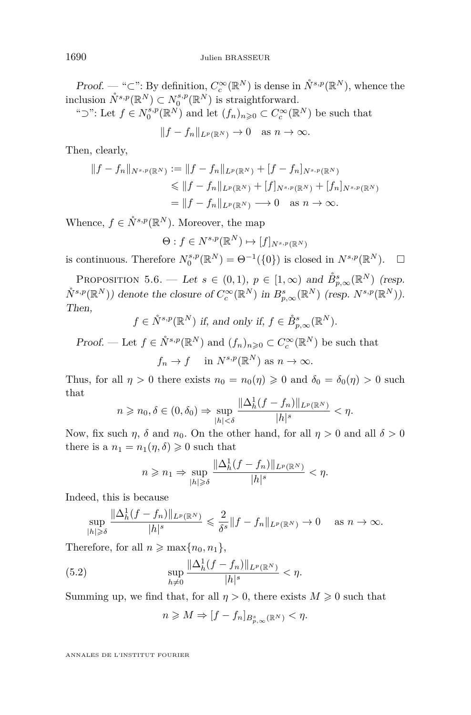Proof. — "⊂": By definition,  $C_c^{\infty}(\mathbb{R}^N)$  is dense in  $\mathring{N}^{s,p}(\mathbb{R}^N)$ , whence the inclusion  $\mathring{N}^{s,p}(\mathbb{R}^N) \subset N_0^{s,p}(\mathbb{R}^N)$  is straightforward.

"⊃": Let  $f \in N_0^{s,p}(\mathbb{R}^N)$  and let  $(f_n)_{n\geqslant 0} \subset C_c^{\infty}(\mathbb{R}^N)$  be such that

 $||f - f_n||_{L^p(\mathbb{R}^N)} \to 0$  as  $n \to \infty$ .

Then, clearly,

$$
||f - f_n||_{N^{s,p}(\mathbb{R}^N)} := ||f - f_n||_{L^p(\mathbb{R}^N)} + [f - f_n]_{N^{s,p}(\mathbb{R}^N)}
$$
  
\n
$$
\le ||f - f_n||_{L^p(\mathbb{R}^N)} + [f]_{N^{s,p}(\mathbb{R}^N)} + [f_n]_{N^{s,p}(\mathbb{R}^N)}
$$
  
\n
$$
= ||f - f_n||_{L^p(\mathbb{R}^N)} \longrightarrow 0 \text{ as } n \to \infty.
$$

Whence,  $f \in \overset{\circ}{N}{}^{s,p}(\mathbb{R}^N)$ . Moreover, the map

$$
\Theta: f \in N^{s,p}(\mathbb{R}^N) \mapsto [f]_{N^{s,p}(\mathbb{R}^N)}
$$

is continuous. Therefore  $N_0^{s,p}(\mathbb{R}^N) = \Theta^{-1}(\{0\})$  is closed in  $N^{s,p}(\mathbb{R}^N)$ .  $\Box$ 

<span id="page-20-0"></span>PROPOSITION 5.6. — Let  $s \in (0,1)$ ,  $p \in [1,\infty)$  and  $\mathring{B}_{p,\infty}^s(\mathbb{R}^N)$  (resp.  $\mathring{N}^{s,p}(\mathbb{R}^N)$  denote the closure of  $C_c^{\infty}(\mathbb{R}^N)$  in  $B_{p,\infty}^s(\mathbb{R}^N)$  (resp.  $N^{s,p}(\mathbb{R}^N)$ ). Then,

 $f \in \overset{\circ}{N}^{s,p}(\mathbb{R}^N)$  if, and only if,  $f \in \overset{\circ}{B}_{p,\infty}^s(\mathbb{R}^N)$ .

*Proof.* — Let  $f \in \overset{\circ}{N}^{s,p}(\mathbb{R}^N)$  and  $(f_n)_{n \geq 0} \subset C_c^{\infty}(\mathbb{R}^N)$  be such that

$$
f_n \to f
$$
 in  $N^{s,p}(\mathbb{R}^N)$  as  $n \to \infty$ .

Thus, for all  $\eta > 0$  there exists  $n_0 = n_0(\eta) \geq 0$  and  $\delta_0 = \delta_0(\eta) > 0$  such that

$$
n \geqslant n_0, \delta \in (0, \delta_0) \Rightarrow \sup_{|h| < \delta} \frac{\|\Delta_h^1 (f - f_n)\|_{L^p(\mathbb{R}^N)}}{|h|^s} < \eta.
$$

Now, fix such  $\eta$ ,  $\delta$  and  $n_0$ . On the other hand, for all  $\eta > 0$  and all  $\delta > 0$ there is a  $n_1 = n_1(\eta, \delta) \geq 0$  such that

$$
n \geqslant n_1 \Rightarrow \sup_{|h| \geqslant \delta} \frac{\|\Delta_h^1(f - f_n)\|_{L^p(\mathbb{R}^N)}}{|h|^s} < \eta.
$$

Indeed, this is because

$$
\sup_{|h|\geqslant \delta}\frac{\|\Delta_h^1(f-f_n)\|_{L^p(\mathbb{R}^N)}}{|h|^s}\leqslant \frac{2}{\delta^s}\|f-f_n\|_{L^p(\mathbb{R}^N)}\to 0\quad\text{ as }n\to\infty.
$$

Therefore, for all  $n \geq \max\{n_0, n_1\}$ ,

(5.2) 
$$
\sup_{h \neq 0} \frac{\|\Delta_h^1 (f - f_n)\|_{L^p(\mathbb{R}^N)}}{|h|^s} < \eta.
$$

Summing up, we find that, for all  $\eta > 0$ , there exists  $M \geq 0$  such that

$$
n\geqslant M\Rightarrow [f-f_n]_{B_{p,\infty}^s(\mathbb{R}^N)}<\eta.
$$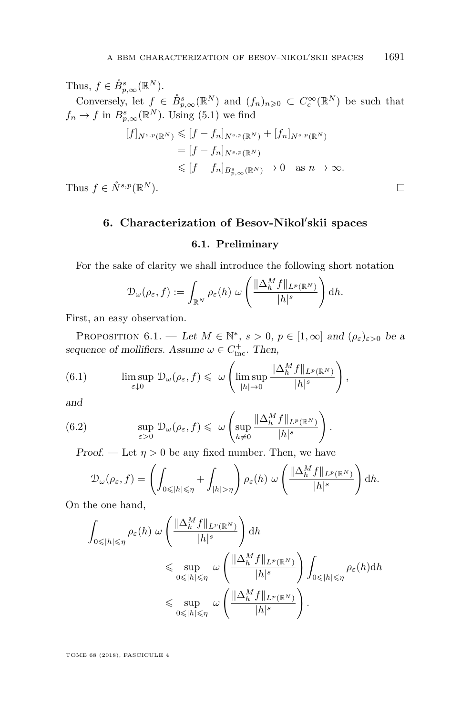Thus,  $f \in \mathring{B}_{p,\infty}^s(\mathbb{R}^N)$ . Conversely, let  $f \in \dot{B}_{p,\infty}^s(\mathbb{R}^N)$  and  $(f_n)_{n\geqslant 0} \subset C_c^{\infty}(\mathbb{R}^N)$  be such that  $f_n \to f$  in  $B_{p,\infty}^s(\mathbb{R}^N)$ . Using [\(5.1\)](#page-19-0) we find  $[f]_{N^{s,p}(\mathbb{R}^N)} \leqslant [f - f_n]_{N^{s,p}(\mathbb{R}^N)} + [f_n]_{N^{s,p}(\mathbb{R}^N)}$  $=[f - f_n]_{N^{s,p}(\mathbb{R}^N)}$  $\leq$   $[f - f_n]_{B^s_{p,\infty}(\mathbb{R}^N)} \to 0$  as  $n \to \infty$ .

<span id="page-21-0"></span>Thus  $f \in \mathring{N}^{s,p}(\mathbb{R}^N)$ .  $^{N}$ ).

### 6. Characterization of Besov-Nikol'skii spaces

#### **6.1. Preliminary**

For the sake of clarity we shall introduce the following short notation

$$
\mathcal{D}_{\omega}(\rho_{\varepsilon},f):=\int_{\mathbb{R}^N}\rho_{\varepsilon}(h)\,\,\omega\left(\frac{\|\Delta_h^Mf\|_{L^p(\mathbb{R}^N)}}{|h|^s}\right)\mathrm{d}h.
$$

First, an easy observation.

<span id="page-21-1"></span>PROPOSITION 6.1. — Let  $M \in \mathbb{N}^*$ ,  $s > 0$ ,  $p \in [1, \infty]$  and  $(\rho_{\varepsilon})_{\varepsilon > 0}$  be a sequence of mollifiers. Assume  $\omega \in C^+_{\text{inc}}$ . Then,

(6.1) 
$$
\limsup_{\varepsilon \downarrow 0} \mathcal{D}_{\omega}(\rho_{\varepsilon}, f) \leqslant \omega \left( \limsup_{|h| \to 0} \frac{\|\Delta_h^M f\|_{L^p(\mathbb{R}^N)}}{|h|^s} \right),
$$

and

(6.2) 
$$
\sup_{\varepsilon>0} \mathcal{D}_{\omega}(\rho_{\varepsilon}, f) \leq \omega \left( \sup_{h \neq 0} \frac{\|\Delta_h^M f\|_{L^p(\mathbb{R}^N)}}{|h|^s} \right).
$$

Proof. — Let  $\eta > 0$  be any fixed number. Then, we have

$$
\mathcal{D}_{\omega}(\rho_{\varepsilon},f) = \left(\int_{0 \leq |h| \leq \eta} + \int_{|h| > \eta}\right) \rho_{\varepsilon}(h) \; \omega\left(\frac{\|\Delta_h^M f\|_{L^p(\mathbb{R}^N)}}{|h|^{s}}\right) \mathrm{d}h.
$$

On the one hand,

$$
\int_{0 \leq |h| \leq \eta} \rho_{\varepsilon}(h) \, \omega \left( \frac{\|\Delta_h^M f\|_{L^p(\mathbb{R}^N)}}{|h|^s} \right) dh
$$
\n
$$
\leq \sup_{0 \leq |h| \leq \eta} \, \omega \left( \frac{\|\Delta_h^M f\|_{L^p(\mathbb{R}^N)}}{|h|^s} \right) \int_{0 \leq |h| \leq \eta} \rho_{\varepsilon}(h) dh
$$
\n
$$
\leq \sup_{0 \leq |h| \leq \eta} \, \omega \left( \frac{\|\Delta_h^M f\|_{L^p(\mathbb{R}^N)}}{|h|^s} \right).
$$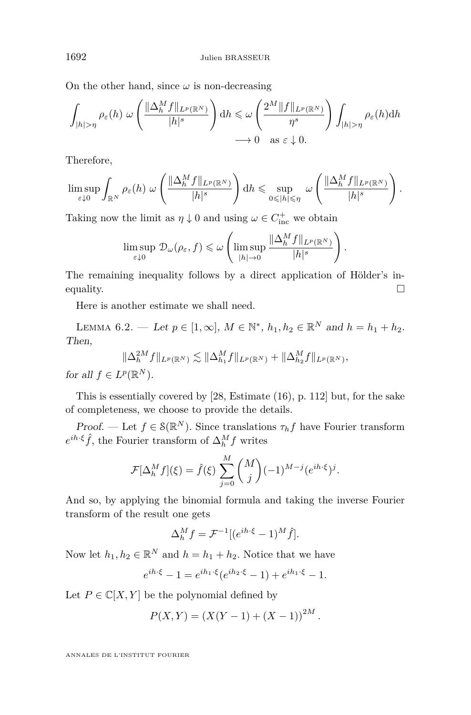On the other hand, since  $\omega$  is non-decreasing

$$
\int_{|h|>\eta} \rho_{\varepsilon}(h) \ \omega\left(\frac{\|\Delta_h^M f\|_{L^p(\mathbb{R}^N)}}{|h|^{s}}\right) dh \leq \omega\left(\frac{2^M \|f\|_{L^p(\mathbb{R}^N)}}{\eta^s}\right) \int_{|h|>\eta} \rho_{\varepsilon}(h) dh
$$
  

$$
\longrightarrow 0 \quad \text{as } \varepsilon \downarrow 0.
$$

Therefore,

$$
\limsup_{\varepsilon \downarrow 0} \int_{\mathbb{R}^N} \rho_{\varepsilon}(h) \ \omega \left( \frac{\|\Delta_h^M f\|_{L^p(\mathbb{R}^N)}}{|h|^s} \right) \mathrm{d} h \leqslant \sup_{0 \leqslant |h| \leqslant \eta} \ \omega \left( \frac{\|\Delta_h^M f\|_{L^p(\mathbb{R}^N)}}{|h|^s} \right).
$$

Taking now the limit as  $\eta \downarrow 0$  and using  $\omega \in C^+_{\text{inc}}$  we obtain

$$
\limsup_{\varepsilon \downarrow 0} \mathcal{D}_{\omega}(\rho_{\varepsilon}, f) \leqslant \omega \left( \limsup_{|h| \to 0} \frac{\|\Delta_h^M f\|_{L^p(\mathbb{R}^N)}}{|h|^s} \right).
$$

The remaining inequality follows by a direct application of Hölder's inequality.  $\Box$ 

Here is another estimate we shall need.

<span id="page-22-0"></span>LEMMA 6.2. — Let  $p \in [1, \infty]$ ,  $M \in \mathbb{N}^*$ ,  $h_1, h_2 \in \mathbb{R}^N$  and  $h = h_1 + h_2$ . Then,

$$
\|\Delta_h^{2M}f\|_{L^p(\mathbb{R}^N)} \lesssim \|\Delta_{h_1}^M f\|_{L^p(\mathbb{R}^N)} + \|\Delta_{h_2}^M f\|_{L^p(\mathbb{R}^N)},
$$

for all  $f \in L^p(\mathbb{R}^N)$ .

This is essentially covered by [\[28,](#page-43-16) Estimate (16), p. 112] but, for the sake of completeness, we choose to provide the details.

Proof. — Let  $f \in \mathcal{S}(\mathbb{R}^N)$ . Since translations  $\tau_h f$  have Fourier transform  $e^{ih \cdot \xi} \hat{f}$ , the Fourier transform of  $\Delta_h^M f$  writes

$$
\mathcal{F}[\Delta_h^M f](\xi) = \hat{f}(\xi) \sum_{j=0}^M {M \choose j} (-1)^{M-j} (e^{ih \cdot \xi})^j.
$$

And so, by applying the binomial formula and taking the inverse Fourier transform of the result one gets

$$
\Delta_h^M f = \mathcal{F}^{-1} \left[ (e^{ih \cdot \xi} - 1)^M \hat{f} \right].
$$

Now let  $h_1, h_2 \in \mathbb{R}^N$  and  $h = h_1 + h_2$ . Notice that we have

$$
e^{ih\cdot\xi} - 1 = e^{ih_1\cdot\xi} (e^{ih_2\cdot\xi} - 1) + e^{ih_1\cdot\xi} - 1.
$$

Let  $P \in \mathbb{C}[X, Y]$  be the polynomial defined by

$$
P(X,Y) = (X(Y-1) + (X-1))^{2M}.
$$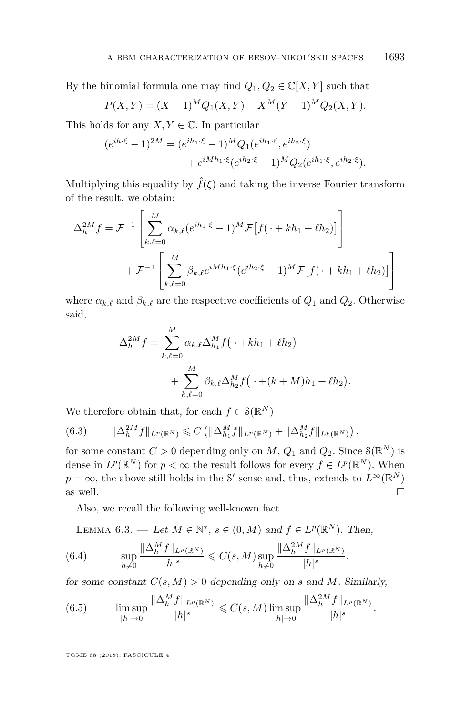By the binomial formula one may find  $Q_1, Q_2 \in \mathbb{C}[X, Y]$  such that

$$
P(X,Y) = (X-1)^{M} Q_1(X,Y) + X^{M} (Y-1)^{M} Q_2(X,Y).
$$

This holds for any  $X, Y \in \mathbb{C}$ . In particular

$$
(e^{ih\cdot\xi} - 1)^{2M} = (e^{ih_1\cdot\xi} - 1)^M Q_1(e^{ih_1\cdot\xi}, e^{ih_2\cdot\xi})
$$
  
+ 
$$
e^{iMh_1\cdot\xi}(e^{ih_2\cdot\xi} - 1)^M Q_2(e^{ih_1\cdot\xi}, e^{ih_2\cdot\xi}).
$$

Multiplying this equality by  $\hat{f}(\xi)$  and taking the inverse Fourier transform of the result, we obtain:

$$
\Delta_h^{2M} f = \mathcal{F}^{-1} \left[ \sum_{k,\ell=0}^M \alpha_{k,\ell} (e^{ih_1 \cdot \xi} - 1)^M \mathcal{F} \left[ f(\cdot + kh_1 + \ell h_2) \right] \right] + \mathcal{F}^{-1} \left[ \sum_{k,\ell=0}^M \beta_{k,\ell} e^{iMh_1 \cdot \xi} (e^{ih_2 \cdot \xi} - 1)^M \mathcal{F} \left[ f(\cdot + kh_1 + \ell h_2) \right] \right]
$$

where  $\alpha_{k,\ell}$  and  $\beta_{k,\ell}$  are the respective coefficients of  $Q_1$  and  $Q_2$ . Otherwise said,

$$
\Delta_h^{2M} f = \sum_{k,\ell=0}^M \alpha_{k,\ell} \Delta_{h_1}^M f(\cdot + kh_1 + \ell h_2) + \sum_{k,\ell=0}^M \beta_{k,\ell} \Delta_{h_2}^M f(\cdot + (k+M)h_1 + \ell h_2)
$$

*.*

We therefore obtain that, for each  $f \in \mathcal{S}(\mathbb{R}^N)$ 

$$
(6.3) \t ||\Delta_h^{2M} f||_{L^p(\mathbb{R}^N)} \leq C \left( \|\Delta_{h_1}^M f\|_{L^p(\mathbb{R}^N)} + \|\Delta_{h_2}^M f\|_{L^p(\mathbb{R}^N)} \right),
$$

for some constant  $C > 0$  depending only on  $M$ ,  $Q_1$  and  $Q_2$ . Since  $\mathcal{S}(\mathbb{R}^N)$  is dense in  $L^p(\mathbb{R}^N)$  for  $p < \infty$  the result follows for every  $f \in L^p(\mathbb{R}^N)$ . When  $p = \infty$ , the above still holds in the S' sense and, thus, extends to  $L^{\infty}(\mathbb{R}^{N})$ as well.

Also, we recall the following well-known fact.

<span id="page-23-0"></span>LEMMA 6.3. — Let  $M \in \mathbb{N}^*$ ,  $s \in (0, M)$  and  $f \in L^p(\mathbb{R}^N)$ . Then,

<span id="page-23-1"></span>(6.4) 
$$
\sup_{h \neq 0} \frac{\|\Delta_h^M f\|_{L^p(\mathbb{R}^N)}}{|h|^s} \leqslant C(s, M) \sup_{h \neq 0} \frac{\|\Delta_h^{2M} f\|_{L^p(\mathbb{R}^N)}}{|h|^s},
$$

for some constant  $C(s, M) > 0$  depending only on *s* and *M*. Similarly,

<span id="page-23-2"></span>(6.5) 
$$
\limsup_{|h|\to 0} \frac{\|\Delta_h^M f\|_{L^p(\mathbb{R}^N)}}{|h|^s} \leq C(s,M) \limsup_{|h|\to 0} \frac{\|\Delta_h^{2M} f\|_{L^p(\mathbb{R}^N)}}{|h|^s}.
$$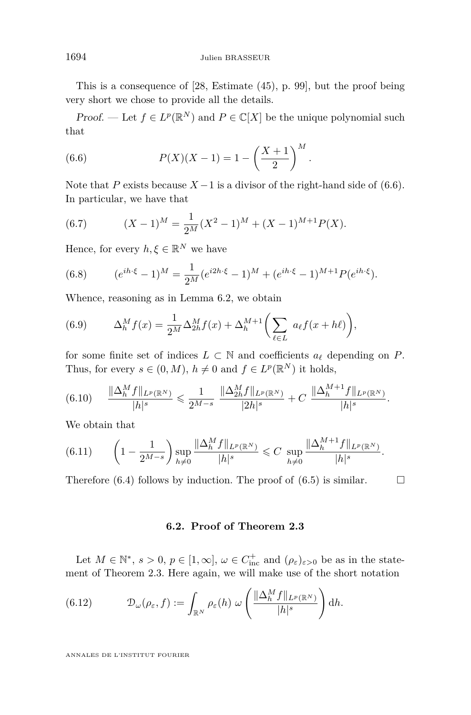This is a consequence of [\[28,](#page-43-16) Estimate (45), p. 99], but the proof being very short we chose to provide all the details.

*Proof.* — Let  $f \in L^p(\mathbb{R}^N)$  and  $P \in \mathbb{C}[X]$  be the unique polynomial such that

<span id="page-24-0"></span>(6.6) 
$$
P(X)(X-1) = 1 - \left(\frac{X+1}{2}\right)^M.
$$

Note that *P* exists because  $X - 1$  is a divisor of the right-hand side of [\(6.6\)](#page-24-0). In particular, we have that

(6.7) 
$$
(X-1)^M = \frac{1}{2^M}(X^2-1)^M + (X-1)^{M+1}P(X).
$$

Hence, for every  $h, \xi \in \mathbb{R}^N$  we have

(6.8) 
$$
(e^{ih\cdot\xi} - 1)^M = \frac{1}{2^M}(e^{i2h\cdot\xi} - 1)^M + (e^{ih\cdot\xi} - 1)^{M+1}P(e^{ih\cdot\xi}).
$$

Whence, reasoning as in Lemma [6.2,](#page-22-0) we obtain

(6.9) 
$$
\Delta_h^M f(x) = \frac{1}{2^M} \Delta_{2h}^M f(x) + \Delta_h^{M+1} \left( \sum_{\ell \in L} a_{\ell} f(x + h\ell) \right),
$$

for some finite set of indices  $L \subset \mathbb{N}$  and coefficients  $a_\ell$  depending on  $P$ . Thus, for every  $s \in (0, M)$ ,  $h \neq 0$  and  $f \in L^p(\mathbb{R}^N)$  it holds,

$$
(6.10) \qquad \frac{\|\Delta_h^M f\|_{L^p(\mathbb{R}^N)}}{|h|^s} \leqslant \frac{1}{2^{M-s}} \ \frac{\|\Delta_{2h}^M f\|_{L^p(\mathbb{R}^N)}}{|2h|^s} + C \ \frac{\|\Delta_h^{M+1} f\|_{L^p(\mathbb{R}^N)}}{|h|^s}.
$$

We obtain that

$$
(6.11) \qquad \left(1 - \frac{1}{2^{M-s}}\right) \sup_{h \neq 0} \frac{\|\Delta_h^M f\|_{L^p(\mathbb{R}^N)}}{|h|^s} \leq C \sup_{h \neq 0} \frac{\|\Delta_h^{M+1} f\|_{L^p(\mathbb{R}^N)}}{|h|^s}.
$$

Therefore [\(6.4\)](#page-23-1) follows by induction. The proof of [\(6.5\)](#page-23-2) is similar.  $\Box$ 

#### **6.2. Proof of Theorem [2.3](#page-8-0)**

Let  $M \in \mathbb{N}^*$ ,  $s > 0$ ,  $p \in [1, \infty]$ ,  $\omega \in C^+_{\text{inc}}$  and  $(\rho_{\varepsilon})_{\varepsilon > 0}$  be as in the statement of Theorem [2.3.](#page-8-0) Here again, we will make use of the short notation

(6.12) 
$$
\mathcal{D}_{\omega}(\rho_{\varepsilon},f) := \int_{\mathbb{R}^N} \rho_{\varepsilon}(h) \ \omega\left(\frac{\|\Delta_h^M f\|_{L^p(\mathbb{R}^N)}}{|h|^s}\right) dh.
$$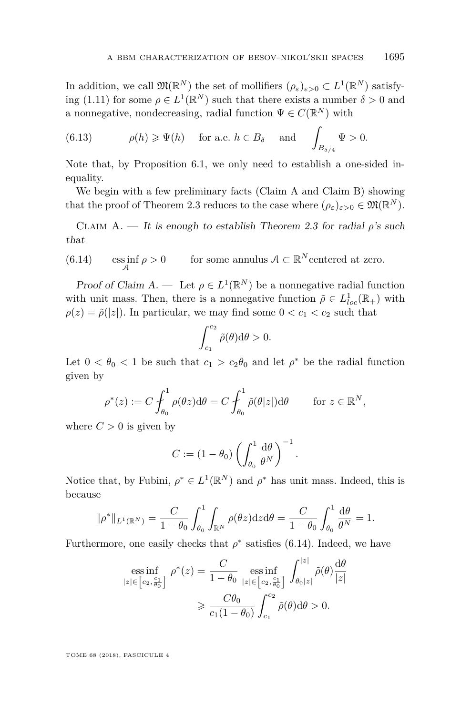In addition, we call  $\mathfrak{M}(\mathbb{R}^N)$  the set of mollifiers  $(\rho_{\varepsilon})_{\varepsilon>0} \subset L^1(\mathbb{R}^N)$  satisfy-ing [\(1.11\)](#page-3-0) for some  $\rho \in L^1(\mathbb{R}^N)$  such that there exists a number  $\delta > 0$  and a nonnegative, nondecreasing, radial function  $\Psi \in C(\mathbb{R}^N)$  with

(6.13) 
$$
\rho(h) \ge \Psi(h)
$$
 for a.e.  $h \in B_{\delta}$  and  $\int_{B_{\delta/4}} \Psi > 0$ .

Note that, by Proposition [6.1,](#page-21-1) we only need to establish a one-sided inequality.

We begin with a few preliminary facts (Claim [A](#page-25-0) and Claim [B\)](#page-26-0) showing that the proof of Theorem [2.3](#page-8-0) reduces to the case where  $(\rho_{\varepsilon})_{\varepsilon>0} \in \mathfrak{M}(\mathbb{R}^N)$ .

<span id="page-25-0"></span>CLAIM A. — It is enough to establish Theorem [2.3](#page-8-0) for radial  $\rho$ 's such that

<span id="page-25-1"></span>(6.14) 
$$
\underset{\mathcal{A}}{\mathrm{ess\,inf}} \, \rho > 0 \qquad \text{ for some annulus } \mathcal{A} \subset \mathbb{R}^N \text{ centered at zero.}
$$

Proof of Claim  $A$ . — Let  $\rho \in L^1(\mathbb{R}^N)$  be a nonnegative radial function with unit mass. Then, there is a nonnegative function  $\tilde{\rho} \in L^1_{loc}(\mathbb{R}_+)$  with  $\rho(z) = \tilde{\rho}(|z|)$ . In particular, we may find some  $0 < c_1 < c_2$  such that

$$
\int_{c_1}^{c_2} \tilde{\rho}(\theta) \mathrm{d}\theta > 0.
$$

Let  $0 < \theta_0 < 1$  be such that  $c_1 > c_2\theta_0$  and let  $\rho^*$  be the radial function given by

$$
\rho^*(z) := C \int_{\theta_0}^1 \rho(\theta z) d\theta = C \int_{\theta_0}^1 \tilde{\rho}(\theta |z|) d\theta \quad \text{for } z \in \mathbb{R}^N,
$$

where  $C > 0$  is given by

$$
C := (1 - \theta_0) \left( \int_{\theta_0}^1 \frac{d\theta}{\theta^N} \right)^{-1}
$$

*.*

Notice that, by Fubini,  $\rho^* \in L^1(\mathbb{R}^N)$  and  $\rho^*$  has unit mass. Indeed, this is because

$$
\|\rho^*\|_{L^1(\mathbb{R}^N)} = \frac{C}{1-\theta_0} \int_{\theta_0}^1 \int_{\mathbb{R}^N} \rho(\theta z) dz d\theta = \frac{C}{1-\theta_0} \int_{\theta_0}^1 \frac{d\theta}{\theta^N} = 1.
$$

Furthermore, one easily checks that  $\rho^*$  satisfies [\(6.14\)](#page-25-1). Indeed, we have

$$
\begin{aligned} \underset{|z| \in \left[c_2, \frac{c_1}{\theta_0}\right]}{\text{ess inf}} \ \rho^*(z) &= \frac{C}{1 - \theta_0} \, \underset{|z| \in \left[c_2, \frac{c_1}{\theta_0}\right]}{\text{ess inf}} \, \int_{\theta_0 |z|}^{|z|} \tilde{\rho}(\theta) \frac{\mathrm{d}\theta}{|z|} \\ &\geqslant \frac{C\theta_0}{c_1(1 - \theta_0)} \int_{c_1}^{c_2} \tilde{\rho}(\theta) \mathrm{d}\theta > 0. \end{aligned}
$$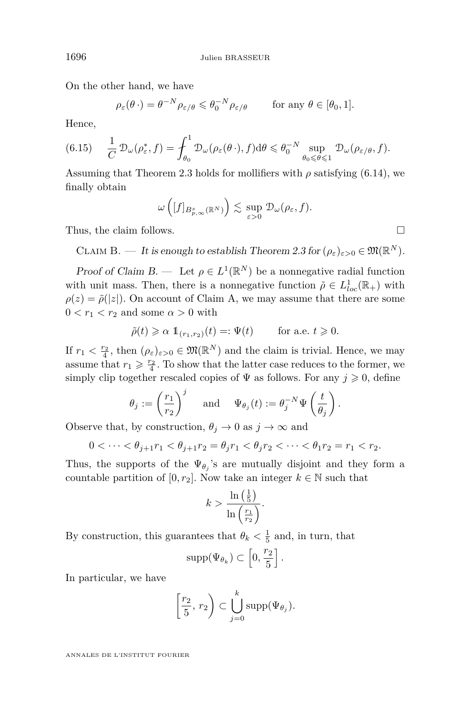On the other hand, we have

$$
\rho_{\varepsilon}(\theta \cdot) = \theta^{-N} \rho_{\varepsilon/\theta} \leq \theta_0^{-N} \rho_{\varepsilon/\theta} \quad \text{for any } \theta \in [\theta_0, 1].
$$

Hence,

<span id="page-26-1"></span>
$$
(6.15) \qquad \frac{1}{C} \mathcal{D}_{\omega}(\rho_{\varepsilon}^*, f) = \int_{\theta_0}^1 \mathcal{D}_{\omega}(\rho_{\varepsilon}(\theta \cdot), f) \mathrm{d}\theta \leq \theta_0^{-N} \sup_{\theta_0 \leq \theta \leq 1} \mathcal{D}_{\omega}(\rho_{\varepsilon/\theta}, f).
$$

Assuming that Theorem [2.3](#page-8-0) holds for mollifiers with  $\rho$  satisfying [\(6.14\)](#page-25-1), we finally obtain

$$
\omega\left([f]_{B_{p,\infty}^s(\mathbb{R}^N)}\right) \lesssim \sup_{\varepsilon>0} \mathcal{D}_{\omega}(\rho_{\varepsilon},f).
$$

Thus, the claim follows.

<span id="page-26-0"></span>CLAIM B. — It is enough to establish Theorem [2.3](#page-8-0) for  $(\rho_{\varepsilon})_{\varepsilon>0} \in \mathfrak{M}(\mathbb{R}^N)$ .

Proof of Claim [B.](#page-26-0) — Let  $\rho \in L^1(\mathbb{R}^N)$  be a nonnegative radial function with unit mass. Then, there is a nonnegative function  $\tilde{\rho} \in L^1_{loc}(\mathbb{R}_+)$  with  $\rho(z) = \tilde{\rho}(|z|)$ . On account of Claim [A,](#page-25-0) we may assume that there are some  $0 < r_1 < r_2$  and some  $\alpha > 0$  with

$$
\tilde{\rho}(t) \geq \alpha \mathbf{1}_{(r_1, r_2)}(t) =: \Psi(t) \quad \text{for a.e. } t \geq 0.
$$

If  $r_1 < \frac{r_2}{4}$ , then  $(\rho_{\varepsilon})_{\varepsilon > 0} \in \mathfrak{M}(\mathbb{R}^N)$  and the claim is trivial. Hence, we may assume that  $r_1 \geqslant \frac{r_2}{4}$ . To show that the latter case reduces to the former, we simply clip together rescaled copies of  $\Psi$  as follows. For any  $j \geq 0$ , define

$$
\theta_j := \left(\frac{r_1}{r_2}\right)^j \quad \text{ and } \quad \Psi_{\theta_j}(t) := \theta_j^{-N} \Psi\left(\frac{t}{\theta_j}\right).
$$

Observe that, by construction,  $\theta_j \to 0$  as  $j \to \infty$  and

$$
0 < \dots < \theta_{j+1} r_1 < \theta_{j+1} r_2 = \theta_j r_1 < \theta_j r_2 < \dots < \theta_1 r_2 = r_1 < r_2.
$$

Thus, the supports of the  $\Psi_{\theta_j}$ 's are mutually disjoint and they form a countable partition of  $[0, r_2]$ . Now take an integer  $k \in \mathbb{N}$  such that

$$
k > \frac{\ln\left(\frac{1}{5}\right)}{\ln\left(\frac{r_1}{r_2}\right)}.
$$

By construction, this guarantees that  $\theta_k < \frac{1}{5}$  and, in turn, that

$$
\mathrm{supp}(\Psi_{\theta_k})\subset \left[0,\frac{r_2}{5}\right].
$$

In particular, we have

$$
\left[\frac{r_2}{5}, r_2\right) \subset \bigcup_{j=0}^k \text{supp}(\Psi_{\theta_j}).
$$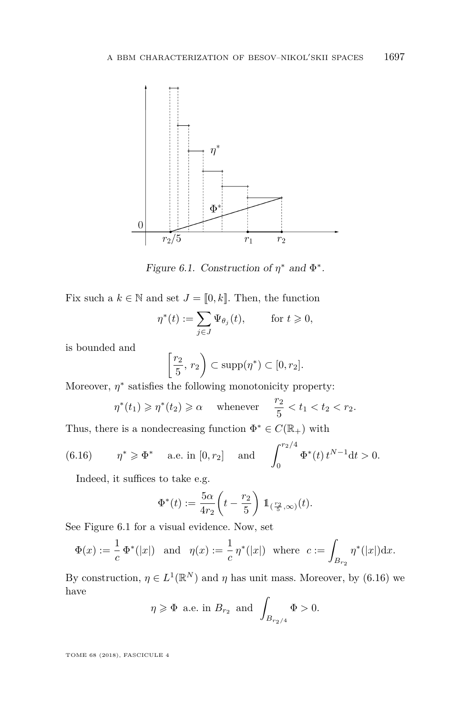

<span id="page-27-0"></span>Figure 6.1. Construction of  $\eta^*$  and  $\Phi^*$ .

Fix such a  $k \in \mathbb{N}$  and set  $J = [0, k]$ . Then, the function

$$
\eta^*(t) := \sum_{j \in J} \Psi_{\theta_j}(t), \quad \text{for } t \geq 0,
$$

is bounded and

$$
\left[\frac{r_2}{5}, r_2\right) \subset \text{supp}(\eta^*) \subset [0, r_2].
$$

Moreover,  $\eta^*$  satisfies the following monotonicity property:

$$
\eta^*(t_1) \geqslant \eta^*(t_2) \geqslant \alpha \quad \text{ whenever } \quad \frac{r_2}{5} < t_1 < t_2 < r_2.
$$

Thus, there is a nondecreasing function  $\Phi^* \in C(\mathbb{R}_+)$  with

<span id="page-27-1"></span>(6.16) 
$$
\eta^* \ge \Phi^*
$$
 a.e. in  $[0, r_2]$  and  $\int_0^{r_2/4} \Phi^*(t) t^{N-1} dt > 0$ .

Indeed, it suffices to take e.g.

$$
\Phi^*(t) := \frac{5\alpha}{4r_2} \left( t - \frac{r_2}{5} \right) \mathbb{1}_{\left( \frac{r_2}{5}, \infty \right)}(t).
$$

See Figure [6.1](#page-27-0) for a visual evidence. Now, set

$$
\Phi(x) := \frac{1}{c} \Phi^*(|x|) \text{ and } \eta(x) := \frac{1}{c} \eta^*(|x|) \text{ where } c := \int_{B_{r_2}} \eta^*(|x|) dx.
$$

By construction,  $\eta \in L^1(\mathbb{R}^N)$  and  $\eta$  has unit mass. Moreover, by [\(6.16\)](#page-27-1) we have

$$
\eta \geqslant \Phi
$$
 a.e. in  $B_{r_2}$  and  $\int_{B_{r_2/4}} \Phi > 0$ .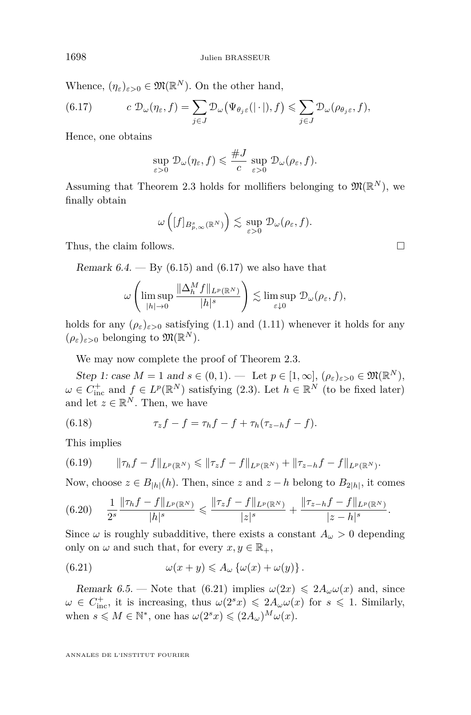Whence,  $(\eta_{\varepsilon})_{\varepsilon>0} \in \mathfrak{M}(\mathbb{R}^N)$ . On the other hand,

<span id="page-28-0"></span>(6.17) 
$$
c \mathcal{D}_{\omega}(\eta_{\varepsilon}, f) = \sum_{j \in J} \mathcal{D}_{\omega}(\Psi_{\theta_{j}\varepsilon}(|\cdot|), f) \leq \sum_{j \in J} \mathcal{D}_{\omega}(\rho_{\theta_{j}\varepsilon}, f),
$$

Hence, one obtains

$$
\sup_{\varepsilon>0} \mathcal{D}_{\omega}(\eta_{\varepsilon}, f) \leqslant \frac{\# J}{c} \sup_{\varepsilon>0} \mathcal{D}_{\omega}(\rho_{\varepsilon}, f).
$$

Assuming that Theorem [2.3](#page-8-0) holds for mollifiers belonging to  $\mathfrak{M}(\mathbb{R}^N)$ , we finally obtain

$$
\omega\left([f]_{B_{p,\infty}^s(\mathbb{R}^N)}\right) \lesssim \sup_{\varepsilon>0} \mathcal{D}_{\omega}(\rho_{\varepsilon},f).
$$

Thus, the claim follows.

<span id="page-28-4"></span>Remark 6.4.  $-$  By [\(6.15\)](#page-26-1) and [\(6.17\)](#page-28-0) we also have that

$$
\omega\left(\limsup_{|h|\to 0}\frac{\|\Delta_h^Mf\|_{L^p(\mathbb{R}^N)}}{|h|^s}\right)\lesssim \limsup_{\varepsilon\downarrow 0}\mathcal{D}_{\omega}(\rho_{\varepsilon},f),
$$

holds for any  $(\rho_{\varepsilon})_{\varepsilon>0}$  satisfying [\(1.1\)](#page-1-0) and [\(1.11\)](#page-3-0) whenever it holds for any  $(\rho_{\varepsilon})_{\varepsilon>0}$  belonging to  $\mathfrak{M}(\mathbb{R}^N)$ .

We may now complete the proof of Theorem [2.3.](#page-8-0)

Step 1: case  $M = 1$  and  $s \in (0, 1)$ . — Let  $p \in [1, \infty]$ ,  $(\rho_{\varepsilon})_{\varepsilon > 0} \in \mathfrak{M}(\mathbb{R}^N)$ ,  $\omega \in C_{\text{inc}}^+$  and  $f \in L^p(\mathbb{R}^N)$  satisfying [\(2.3\)](#page-8-1). Let  $h \in \mathbb{R}^N$  (to be fixed later) and let  $z \in \mathbb{R}^N$ . Then, we have

(6.18) 
$$
\tau_z f - f = \tau_h f - f + \tau_h (\tau_{z-h} f - f).
$$

This implies

<span id="page-28-5"></span>
$$
(6.19) \t\t ||\tau_h f - f||_{L^p(\mathbb{R}^N)} \le ||\tau_z f - f||_{L^p(\mathbb{R}^N)} + ||\tau_{z-h} f - f||_{L^p(\mathbb{R}^N)}.
$$

Now, choose  $z \in B_{|h|}(h)$ . Then, since  $z$  and  $z - h$  belong to  $B_{2|h|}$ , it comes

<span id="page-28-2"></span>
$$
(6.20) \quad \frac{1}{2^s} \frac{\|\tau_h f - f\|_{L^p(\mathbb{R}^N)}}{|h|^s} \leqslant \frac{\|\tau_z f - f\|_{L^p(\mathbb{R}^N)}}{|z|^s} + \frac{\|\tau_{z-h} f - f\|_{L^p(\mathbb{R}^N)}}{|z-h|^s}.
$$

Since  $\omega$  is roughly subadditive, there exists a constant  $A_{\omega} > 0$  depending only on  $\omega$  and such that, for every  $x, y \in \mathbb{R}_+$ ,

<span id="page-28-1"></span>(6.21) 
$$
\omega(x+y) \leq A_{\omega} \{\omega(x) + \omega(y)\}.
$$

<span id="page-28-3"></span>Remark 6.5. — Note that [\(6.21\)](#page-28-1) implies  $\omega(2x) \leq 2A_\omega \omega(x)$  and, since  $\omega \in C^{\pm}_{\text{inc}}$ , it is increasing, thus  $\omega(2^{s}x) \leq 2A_{\omega}\omega(x)$  for  $s \leq 1$ . Similarly, when  $s \leq M \in \mathbb{N}^*$ , one has  $\omega(2^s x) \leq (2A_\omega)^M \omega(x)$ .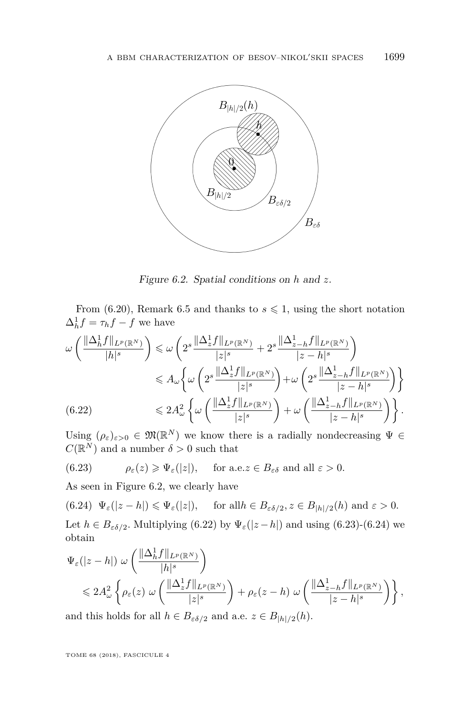

<span id="page-29-0"></span>Figure 6.2. Spatial conditions on *h* and *z*.

From [\(6.20\)](#page-28-2), Remark [6.5](#page-28-3) and thanks to  $s \leq 1$ , using the short notation  $\Delta_h^1 f = \tau_h f - f$  we have

$$
\omega\left(\frac{\|\Delta_h^1 f\|_{L^p(\mathbb{R}^N)}}{|h|^s}\right) \leqslant \omega\left(2^s \frac{\|\Delta_z^1 f\|_{L^p(\mathbb{R}^N)}}{|z|^s} + 2^s \frac{\|\Delta_{z-h}^1 f\|_{L^p(\mathbb{R}^N)}}{|z-h|^s}\right)
$$
  

$$
\leqslant A_\omega \bigg\{\omega\left(2^s \frac{\|\Delta_z^1 f\|_{L^p(\mathbb{R}^N)}}{|z|^s}\right) + \omega\left(2^s \frac{\|\Delta_{z-h}^1 f\|_{L^p(\mathbb{R}^N)}}{|z-h|^s}\right)\bigg\}
$$
  
(6.22)  

$$
\leqslant 2A_\omega^2 \bigg\{\omega\left(\frac{\|\Delta_z^1 f\|_{L^p(\mathbb{R}^N)}}{|z|^s}\right) + \omega\left(\frac{\|\Delta_{z-h}^1 f\|_{L^p(\mathbb{R}^N)}}{|z-h|^s}\right)\bigg\}.
$$

<span id="page-29-1"></span>Using  $(\rho_{\varepsilon})_{\varepsilon>0} \in \mathfrak{M}(\mathbb{R}^N)$  we know there is a radially nondecreasing  $\Psi \in$  $C(\mathbb{R}^N)$  and a number  $\delta > 0$  such that

<span id="page-29-2"></span>(6.23) 
$$
\rho_{\varepsilon}(z) \ge \Psi_{\varepsilon}(|z|)
$$
, for a.e.  $z \in B_{\varepsilon \delta}$  and all  $\varepsilon > 0$ .

As seen in Figure [6.2,](#page-29-0) we clearly have

<span id="page-29-3"></span> $(\mathbf{6.24}) \ \Psi_{\varepsilon}(|z-h|) \leqslant \Psi_{\varepsilon}(|z|), \quad \text{ for all } h \in B_{\varepsilon\delta/2}, z \in B_{|h|/2}(h) \text{ and } \varepsilon > 0.$ Let  $h \in B_{\varepsilon\delta/2}$ . Multiplying [\(6.22\)](#page-29-1) by  $\Psi_{\varepsilon}(|z-h|)$  and using [\(6.23\)](#page-29-2)-[\(6.24\)](#page-29-3) we obtain

$$
\Psi_{\varepsilon}(|z-h|) \omega \left( \frac{\|\Delta_h^1 f\|_{L^p(\mathbb{R}^N)}}{|h|^s} \right)
$$
  
\$\leqslant 2A\_{\omega}^2 \left\{ \rho\_{\varepsilon}(z) \omega \left( \frac{\|\Delta\_z^1 f\|\_{L^p(\mathbb{R}^N)}}{|z|^s} \right) + \rho\_{\varepsilon}(z-h) \omega \left( \frac{\|\Delta\_{z-h}^1 f\|\_{L^p(\mathbb{R}^N)}}{|z-h|^s} \right) \right\},

and this holds for all  $h \in B_{\varepsilon \delta/2}$  and a.e.  $z \in B_{|h|/2}(h)$ .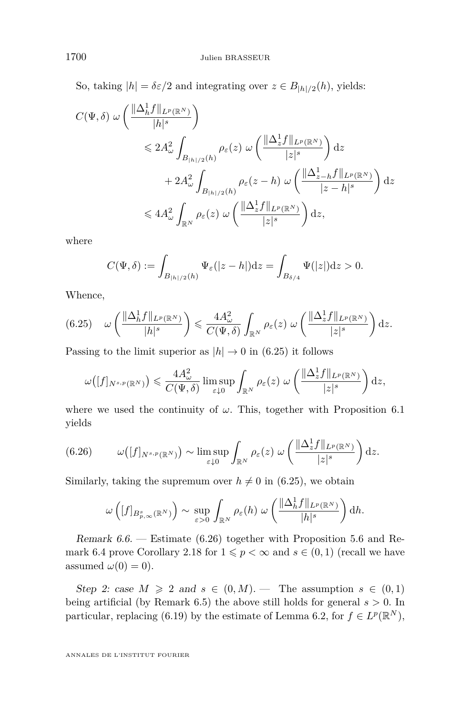So, taking  $|h| = \delta \varepsilon/2$  and integrating over  $z \in B_{|h|/2}(h)$ , yields:

$$
C(\Psi, \delta) \omega \left( \frac{\|\Delta_h^1 f\|_{L^p(\mathbb{R}^N)}}{|h|^s} \right)
$$
  
\$\leqslant 2A\_\omega^2 \int\_{B\_{|h|/2}(h)} \rho\_\varepsilon(z) \omega \left( \frac{\|\Delta\_z^1 f\|\_{L^p(\mathbb{R}^N)}}{|z|^s} \right) dz\$  
\$+ 2A\_\omega^2 \int\_{B\_{|h|/2}(h)} \rho\_\varepsilon(z-h) \omega \left( \frac{\|\Delta\_{z-h}^1 f\|\_{L^p(\mathbb{R}^N)}}{|z-h|^s} \right) dz\$  
\$\leqslant 4A\_\omega^2 \int\_{\mathbb{R}^N} \rho\_\varepsilon(z) \omega \left( \frac{\|\Delta\_z^1 f\|\_{L^p(\mathbb{R}^N)}}{|z|^s} \right) dz\$,

where

$$
C(\Psi,\delta) := \int_{B_{|h|/2}(h)} \Psi_{\varepsilon}(|z-h|) \mathrm{d}z = \int_{B_{\delta/4}} \Psi(|z|) \mathrm{d}z > 0.
$$

Whence,

<span id="page-30-0"></span>
$$
(6.25) \quad \omega\left(\frac{\|\Delta_h^1 f\|_{L^p(\mathbb{R}^N)}}{|h|^s}\right) \leqslant \frac{4A_\omega^2}{C(\Psi,\delta)} \int_{\mathbb{R}^N} \rho_\varepsilon(z) \; \omega\left(\frac{\|\Delta_z^1 f\|_{L^p(\mathbb{R}^N)}}{|z|^s}\right) \mathrm{d}z.
$$

Passing to the limit superior as  $|h| \to 0$  in [\(6.25\)](#page-30-0) it follows

$$
\omega([f]_{N^{s,p}(\mathbb{R}^N)}) \leqslant \frac{4A_\omega^2}{C(\Psi,\delta)} \limsup_{\varepsilon \downarrow 0} \int_{\mathbb{R}^N} \rho_\varepsilon(z) \ \omega\left(\frac{\|\Delta_z^1f\|_{L^p(\mathbb{R}^N)}}{|z|^s}\right) \mathrm{d}z,
$$

where we used the continuity of  $\omega$ . This, together with Proposition [6.1](#page-21-1) yields

<span id="page-30-1"></span>(6.26) 
$$
\omega([f]_{N^{s,p}(\mathbb{R}^N)}) \sim \limsup_{\varepsilon \downarrow 0} \int_{\mathbb{R}^N} \rho_{\varepsilon}(z) \, \omega\left(\frac{\|\Delta_z^1 f\|_{L^p(\mathbb{R}^N)}}{|z|^s}\right) dz.
$$

Similarly, taking the supremum over  $h \neq 0$  in [\(6.25\)](#page-30-0), we obtain

$$
\omega\left([f]_{B_{p,\infty}^s(\mathbb{R}^N)}\right) \sim \sup_{\varepsilon>0} \int_{\mathbb{R}^N} \rho_{\varepsilon}(h) \; \omega\left(\frac{\|\Delta_h^1 f\|_{L^p(\mathbb{R}^N)}}{|h|^s}\right) dh.
$$

Remark 6.6. — Estimate [\(6.26\)](#page-30-1) together with Proposition [5.6](#page-20-0) and Re-mark [6.4](#page-28-4) prove Corollary [2.18](#page-13-1) for  $1 \leqslant p < \infty$  and  $s \in (0,1)$  (recall we have assumed  $\omega(0) = 0$ ).

Step 2: case  $M \geq 2$  and  $s \in (0, M)$ . — The assumption  $s \in (0, 1)$ being artificial (by Remark [6.5\)](#page-28-3) the above still holds for general  $s > 0$ . In particular, replacing [\(6.19\)](#page-28-5) by the estimate of Lemma [6.2,](#page-22-0) for  $f \in L^p(\mathbb{R}^N)$ ,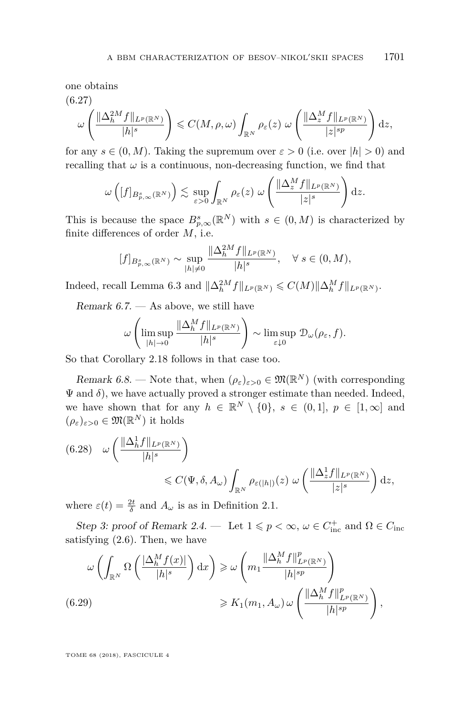one obtains

$$
(6.27)
$$

$$
\omega\left(\frac{\|\Delta_h^{2M}f\|_{L^p(\mathbb{R}^N)}}{|h|^s}\right) \leqslant C(M,\rho,\omega)\int_{\mathbb{R}^N}\rho_{\varepsilon}(z)\,\omega\left(\frac{\|\Delta_z^Mf\|_{L^p(\mathbb{R}^N)}}{|z|^{sp}}\right)\mathrm{d}z,
$$

for any  $s \in (0, M)$ . Taking the supremum over  $\varepsilon > 0$  (i.e. over  $|h| > 0$ ) and recalling that  $\omega$  is a continuous, non-decreasing function, we find that

$$
\omega\left([f]_{B_{p,\infty}^s(\mathbb{R}^N)}\right) \lesssim \sup_{\varepsilon>0} \int_{\mathbb{R}^N} \rho_{\varepsilon}(z) \ \omega\left(\frac{\|\Delta_z^M f\|_{L^p(\mathbb{R}^N)}}{|z|^s}\right) dz.
$$

This is because the space  $B_{p,\infty}^s(\mathbb{R}^N)$  with  $s \in (0,M)$  is characterized by finite differences of order *M*, i.e.

$$
[f]_{B_{p,\infty}^s(\mathbb{R}^N)} \sim \sup_{|h|\neq 0} \frac{\|\Delta_h^{2M}f\|_{L^p(\mathbb{R}^N)}}{|h|^s}, \quad \forall s \in (0, M),
$$

Indeed, recall Lemma [6.3](#page-23-0) and  $\|\Delta_h^{2M} f\|_{L^p(\mathbb{R}^N)} \leqslant C(M) \|\Delta_h^M f\|_{L^p(\mathbb{R}^N)}$ .

Remark  $6.7.$  — As above, we still have

$$
\omega\left(\limsup_{|h|\to 0}\frac{\|\Delta_h^Mf\|_{L^p(\mathbb{R}^N)}}{|h|^s}\right)\sim \limsup_{\varepsilon\downarrow 0}\mathcal{D}_\omega(\rho_\varepsilon,f).
$$

So that Corollary [2.18](#page-13-1) follows in that case too.

Remark 6.8. — Note that, when  $(\rho_{\varepsilon})_{\varepsilon>0} \in \mathfrak{M}(\mathbb{R}^N)$  (with corresponding  $\Psi$  and  $\delta$ ), we have actually proved a stronger estimate than needed. Indeed, we have shown that for any  $h \in \mathbb{R}^N \setminus \{0\}$ ,  $s \in (0,1]$ ,  $p \in [1,\infty]$  and  $(\rho_{\varepsilon})_{\varepsilon>0} \in \mathfrak{M}(\mathbb{R}^N)$  it holds

$$
(6.28) \quad \omega \left( \frac{\|\Delta_h^1 f\|_{L^p(\mathbb{R}^N)}}{|h|^s} \right) \leq C(\Psi, \delta, A_\omega) \int_{\mathbb{R}^N} \rho_{\varepsilon(|h|)}(z) \, \omega \left( \frac{\|\Delta_z^1 f\|_{L^p(\mathbb{R}^N)}}{|z|^s} \right) dz,
$$

where  $\varepsilon(t) = \frac{2t}{\delta}$  and  $A_{\omega}$  is as in Definition [2.1.](#page-7-0)

Step 3: proof of Remark [2.4.](#page-8-3) — Let  $1 \leqslant p < \infty$ ,  $\omega \in C_{\text{inc}}^+$  and  $\Omega \in C_{\text{inc}}$ satisfying [\(2.6\)](#page-9-0). Then, we have

$$
\omega \left( \int_{\mathbb{R}^N} \Omega \left( \frac{\left| \Delta_h^M f(x) \right|}{|h|^{s}} \right) dx \right) \geq \omega \left( m_1 \frac{\left\| \Delta_h^M f \right\|_{L^p(\mathbb{R}^N)}^p}{|h|^{sp}} \right)
$$
\n
$$
\geq K_1(m_1, A_\omega) \omega \left( \frac{\left\| \Delta_h^M f \right\|_{L^p(\mathbb{R}^N)}^p}{|h|^{sp}} \right),
$$
\n(6.29)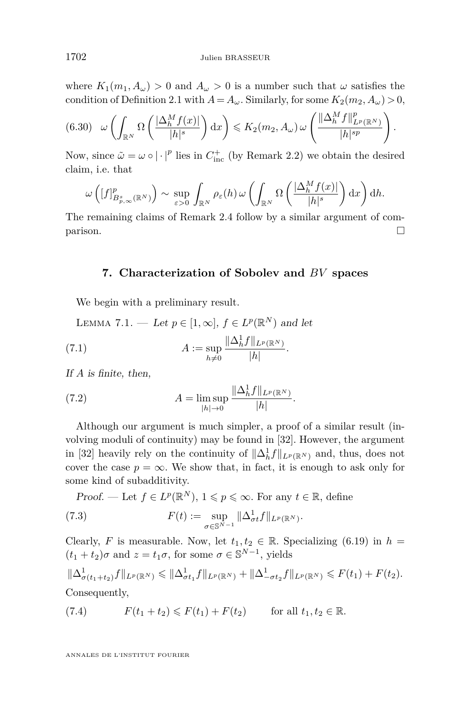where  $K_1(m_1, A_\omega) > 0$  and  $A_\omega > 0$  is a number such that  $\omega$  satisfies the condition of Definition [2.1](#page-7-0) with  $A = A_{\omega}$ . Similarly, for some  $K_2(m_2, A_{\omega}) > 0$ ,

$$
(6.30) \quad \omega\left(\int_{\mathbb{R}^N} \Omega\left(\frac{|\Delta_h^M f(x)|}{|h|^s}\right) dx\right) \leqslant K_2(m_2, A_\omega) \, \omega\left(\frac{\|\Delta_h^M f\|_{L^p(\mathbb{R}^N)}^p}{|h|^{sp}}\right).
$$

Now, since  $\tilde{\omega} = \omega \circ |\cdot|^p$  lies in  $C_{\text{inc}}^+$  (by Remark [2.2\)](#page-7-1) we obtain the desired claim, i.e. that

$$
\omega\left([f]_{B_{p,\infty}^s(\mathbb{R}^N)}^p\right) \sim \sup_{\varepsilon>0} \int_{\mathbb{R}^N} \rho_{\varepsilon}(h) \, \omega\left(\int_{\mathbb{R}^N} \Omega\left(\frac{|\Delta_h^M f(x)|}{|h|^s}\right) \mathrm{d}x\right) \mathrm{d}h.
$$

The remaining claims of Remark [2.4](#page-8-3) follow by a similar argument of com- $\Box$ 

#### **7. Characterization of Sobolev and** *BV* **spaces**

<span id="page-32-1"></span>We begin with a preliminary result.

<span id="page-32-0"></span>LEMMA 7.1. — Let 
$$
p \in [1, \infty]
$$
,  $f \in L^p(\mathbb{R}^N)$  and let  
\n(7.1) 
$$
A := \sup_{h \neq 0} \frac{\|\Delta_h^1 f\|_{L^p(\mathbb{R}^N)}}{|h|}.
$$

If *A* is finite, then,

(7.2) 
$$
A = \limsup_{|h| \to 0} \frac{\|\Delta_h^1 f\|_{L^p(\mathbb{R}^N)}}{|h|}.
$$

Although our argument is much simpler, a proof of a similar result (involving moduli of continuity) may be found in [\[32\]](#page-43-8). However, the argument in [\[32\]](#page-43-8) heavily rely on the continuity of  $\|\Delta_h^1 f\|_{L^p(\mathbb{R}^N)}$  and, thus, does not cover the case  $p = \infty$ . We show that, in fact, it is enough to ask only for some kind of subadditivity.

*Proof.* — Let  $f \in L^p(\mathbb{R}^N)$ ,  $1 \leqslant p \leqslant \infty$ . For any  $t \in \mathbb{R}$ , define  $F(t) := \sup$ *σ*∈S*N*−<sup>1</sup> (7.3)  $F(t) := \sup \|\Delta_{\sigma t}^1 f\|_{L^p(\mathbb{R}^N)}.$ 

Clearly, *F* is measurable. Now, let  $t_1, t_2 \in \mathbb{R}$ . Specializing [\(6.19\)](#page-28-5) in  $h =$  $(t_1 + t_2)\sigma$  and  $z = t_1\sigma$ , for some  $\sigma \in \mathbb{S}^{N-1}$ , yields

$$
\|\Delta^1_{\sigma(t_1+t_2)}f\|_{L^p(\mathbb{R}^N)} \le \|\Delta^1_{\sigma t_1}f\|_{L^p(\mathbb{R}^N)} + \|\Delta^1_{\sigma t_2}f\|_{L^p(\mathbb{R}^N)} \le F(t_1) + F(t_2).
$$
  
Consequently,

(7.4) 
$$
F(t_1 + t_2) \leq F(t_1) + F(t_2) \quad \text{for all } t_1, t_2 \in \mathbb{R}.
$$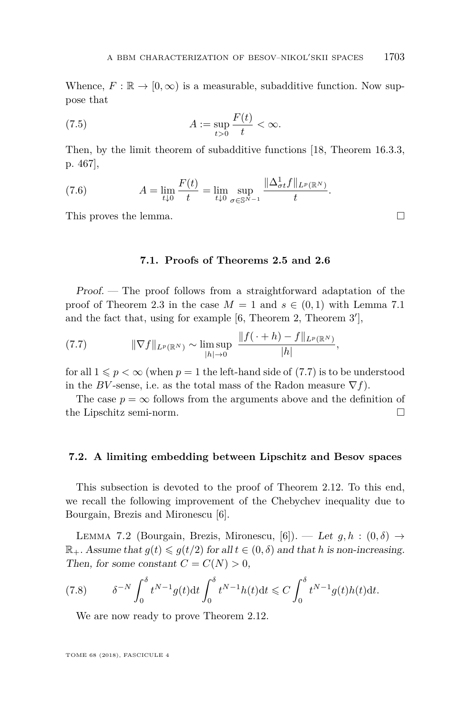Whence,  $F : \mathbb{R} \to [0, \infty)$  is a measurable, subadditive function. Now suppose that

(7.5) 
$$
A := \sup_{t>0} \frac{F(t)}{t} < \infty.
$$

Then, by the limit theorem of subadditive functions [\[18,](#page-43-22) Theorem 16.3.3, p. 467],

(7.6) 
$$
A = \lim_{t \downarrow 0} \frac{F(t)}{t} = \lim_{t \downarrow 0} \sup_{\sigma \in \mathbb{S}^{N-1}} \frac{\|\Delta_{\sigma t}^1 f\|_{L^p(\mathbb{R}^N)}}{t}.
$$

This proves the lemma.

**7.1. Proofs of Theorems [2.5](#page-9-2) and [2.6](#page-9-3)**

Proof. — The proof follows from a straightforward adaptation of the proof of Theorem [2.3](#page-8-0) in the case  $M = 1$  and  $s \in (0, 1)$  with Lemma [7.1](#page-32-0) and the fact that, using for example  $[6,$  Theorem 2, Theorem  $3'$ ,

<span id="page-33-0"></span>(7.7) 
$$
\|\nabla f\|_{L^p(\mathbb{R}^N)} \sim \limsup_{|h| \to 0} \frac{\|f(\cdot + h) - f\|_{L^p(\mathbb{R}^N)}}{|h|},
$$

for all  $1 \leqslant p < \infty$  (when  $p = 1$  the left-hand side of [\(7.7\)](#page-33-0) is to be understood in the *BV*-sense, i.e. as the total mass of the Radon measure  $\nabla f$ ).

The case  $p = \infty$  follows from the arguments above and the definition of the Lipschitz semi-norm.

#### **7.2. A limiting embedding between Lipschitz and Besov spaces**

This subsection is devoted to the proof of Theorem [2.12.](#page-11-0) To this end, we recall the following improvement of the Chebychev inequality due to Bourgain, Brezis and Mironescu [\[6\]](#page-42-0).

<span id="page-33-1"></span>LEMMA 7.2 (Bourgain, Brezis, Mironescu, [\[6\]](#page-42-0)). — Let  $g, h : (0, \delta) \rightarrow$  $\mathbb{R}_+$ . Assume that  $g(t) \leq g(t/2)$  for all  $t \in (0, \delta)$  and that *h* is non-increasing. Then, for some constant  $C = C(N) > 0$ ,

(7.8) 
$$
\delta^{-N} \int_0^{\delta} t^{N-1} g(t) dt \int_0^{\delta} t^{N-1} h(t) dt \leq C \int_0^{\delta} t^{N-1} g(t) h(t) dt.
$$

We are now ready to prove Theorem [2.12.](#page-11-0)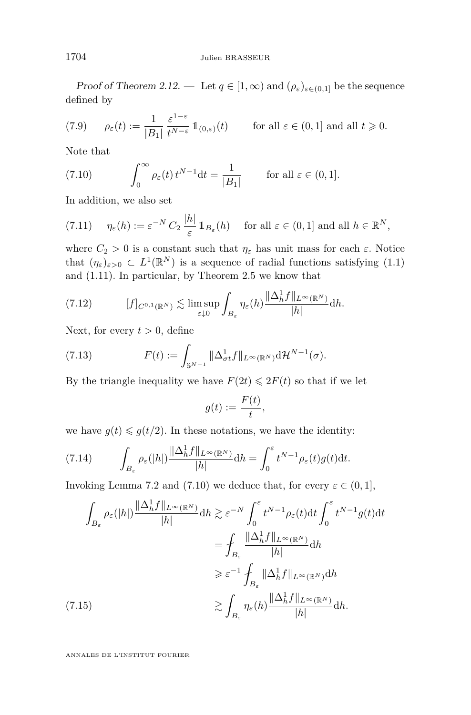Proof of Theorem [2.12.](#page-11-0) — Let  $q \in [1,\infty)$  and  $(\rho_{\varepsilon})_{\varepsilon \in (0,1]}$  be the sequence defined by

(7.9) 
$$
\rho_{\varepsilon}(t) := \frac{1}{|B_1|} \frac{\varepsilon^{1-\varepsilon}}{t^{N-\varepsilon}} 1\!\!1_{(0,\varepsilon)}(t) \quad \text{for all } \varepsilon \in (0,1] \text{ and all } t \geq 0.
$$

Note that

<span id="page-34-0"></span>(7.10) 
$$
\int_0^\infty \rho_\varepsilon(t) t^{N-1} dt = \frac{1}{|B_1|} \quad \text{for all } \varepsilon \in (0,1].
$$

In addition, we also set

(7.11) 
$$
\eta_{\varepsilon}(h) := \varepsilon^{-N} C_2 \frac{|h|}{\varepsilon} 1\!\!1_{B_{\varepsilon}}(h) \quad \text{for all } \varepsilon \in (0,1] \text{ and all } h \in \mathbb{R}^N,
$$

where  $C_2 > 0$  is a constant such that  $\eta_{\varepsilon}$  has unit mass for each  $\varepsilon$ . Notice that  $(\eta_{\varepsilon})_{\varepsilon>0} \subset L^1(\mathbb{R}^N)$  is a sequence of radial functions satisfying [\(1.1\)](#page-1-0) and [\(1.11\)](#page-3-0). In particular, by Theorem [2.5](#page-9-2) we know that

<span id="page-34-1"></span>
$$
(7.12) \t\t [f]_{C^{0,1}(\mathbb{R}^N)} \lesssim \limsup_{\varepsilon \downarrow 0} \int_{B_{\varepsilon}} \eta_{\varepsilon}(h) \frac{\|\Delta_h^1 f\|_{L^{\infty}(\mathbb{R}^N)}}{|h|} dh.
$$

Next, for every  $t > 0$ , define

(7.13) 
$$
F(t) := \int_{\mathbb{S}^{N-1}} \|\Delta_{\sigma t}^1 f\|_{L^\infty(\mathbb{R}^N)} \mathrm{d} \mathcal{H}^{N-1}(\sigma).
$$

By the triangle inequality we have  $F(2t) \leq 2F(t)$  so that if we let

$$
g(t) := \frac{F(t)}{t},
$$

we have  $g(t) \leq g(t/2)$ . In these notations, we have the identity:

(7.14) 
$$
\int_{B_{\varepsilon}} \rho_{\varepsilon}(|h|) \frac{\|\Delta_h^1 f\|_{L^{\infty}(\mathbb{R}^N)}}{|h|} dh = \int_0^{\varepsilon} t^{N-1} \rho_{\varepsilon}(t) g(t) dt.
$$

Invoking Lemma [7.2](#page-33-1) and [\(7.10\)](#page-34-0) we deduce that, for every  $\varepsilon \in (0,1]$ ,

$$
\int_{B_{\varepsilon}} \rho_{\varepsilon}(|h|) \frac{\|\Delta_h^1 f\|_{L^{\infty}(\mathbb{R}^N)}}{|h|} dh \gtrsim \varepsilon^{-N} \int_0^{\varepsilon} t^{N-1} \rho_{\varepsilon}(t) dt \int_0^{\varepsilon} t^{N-1} g(t) dt
$$

$$
= \int_{B_{\varepsilon}} \frac{\|\Delta_h^1 f\|_{L^{\infty}(\mathbb{R}^N)}}{|h|} dh
$$

$$
\geq \varepsilon^{-1} \int_{B_{\varepsilon}} \|\Delta_h^1 f\|_{L^{\infty}(\mathbb{R}^N)} dh
$$

$$
\gtrsim \int_{B_{\varepsilon}} \eta_{\varepsilon}(h) \frac{\|\Delta_h^1 f\|_{L^{\infty}(\mathbb{R}^N)}}{|h|} dh.
$$
 (7.15)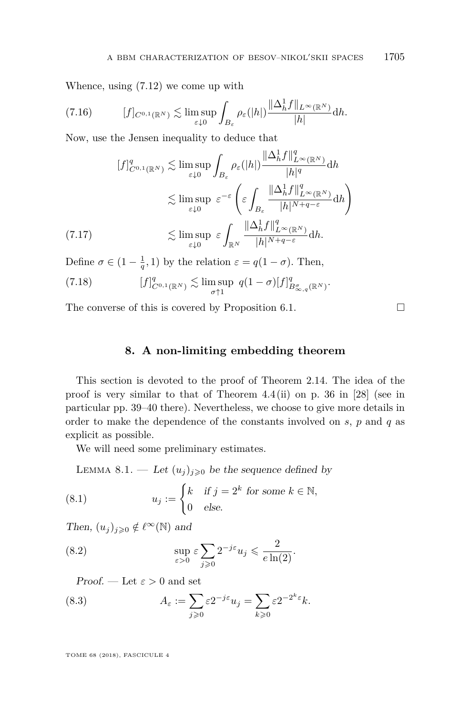Whence, using [\(7.12\)](#page-34-1) we come up with

$$
(7.16) \t\t [f]_{C^{0,1}(\mathbb{R}^N)} \lesssim \limsup_{\varepsilon \downarrow 0} \int_{B_{\varepsilon}} \rho_{\varepsilon}(|h|) \frac{\|\Delta_h^1 f\|_{L^{\infty}(\mathbb{R}^N)}}{|h|} dh.
$$

Now, use the Jensen inequality to deduce that

$$
[f]_{C^{0,1}(\mathbb{R}^N)}^q \lesssim \limsup_{\varepsilon \downarrow 0} \int_{B_{\varepsilon}} \rho_{\varepsilon}(|h|) \frac{\|\Delta_h^1 f\|_{L^{\infty}(\mathbb{R}^N)}^q}{|h|^q} dh
$$
  

$$
\lesssim \limsup_{\varepsilon \downarrow 0} \varepsilon^{-\varepsilon} \left( \varepsilon \int_{B_{\varepsilon}} \frac{\|\Delta_h^1 f\|_{L^{\infty}(\mathbb{R}^N)}^q}{|h|^{N+q-\varepsilon}} dh \right)
$$
  
(7.17)  

$$
\lesssim \limsup_{\varepsilon \downarrow 0} \varepsilon \int_{\mathbb{R}^N} \frac{\|\Delta_h^1 f\|_{L^{\infty}(\mathbb{R}^N)}^q}{|h|^{N+q-\varepsilon}} dh.
$$

Define  $\sigma \in (1 - \frac{1}{q}, 1)$  by the relation  $\varepsilon = q(1 - \sigma)$ . Then,

(7.18) 
$$
[f]_{C^{0,1}(\mathbb{R}^N)}^q \lesssim \limsup_{\sigma \uparrow 1} q(1-\sigma)[f]_{B^{\sigma}_{\infty,q}(\mathbb{R}^N)}^q.
$$

The converse of this is covered by Proposition [6.1.](#page-21-1)  $\Box$ 

#### **8. A non-limiting embedding theorem**

<span id="page-35-0"></span>This section is devoted to the proof of Theorem [2.14.](#page-11-4) The idea of the proof is very similar to that of Theorem 4.4 (ii) on p. 36 in [\[28\]](#page-43-16) (see in particular pp. 39–40 there). Nevertheless, we choose to give more details in order to make the dependence of the constants involved on *s*, *p* and *q* as explicit as possible.

We will need some preliminary estimates.

<span id="page-35-1"></span>LEMMA 8.1. — Let  $(u_j)_{j\geqslant 0}$  be the sequence defined by

(8.1) 
$$
u_j := \begin{cases} k & \text{if } j = 2^k \text{ for some } k \in \mathbb{N}, \\ 0 & \text{else.} \end{cases}
$$

Then,  $(u_j)_{j\geqslant 0} \notin \ell^{\infty}(\mathbb{N})$  and

(8.2) 
$$
\sup_{\varepsilon>0} \varepsilon \sum_{j\geqslant 0} 2^{-j\varepsilon} u_j \leqslant \frac{2}{e \ln(2)}.
$$

Proof. — Let  $\varepsilon > 0$  and set

(8.3) 
$$
A_{\varepsilon} := \sum_{j \geqslant 0} \varepsilon 2^{-j\varepsilon} u_j = \sum_{k \geqslant 0} \varepsilon 2^{-2^k \varepsilon} k.
$$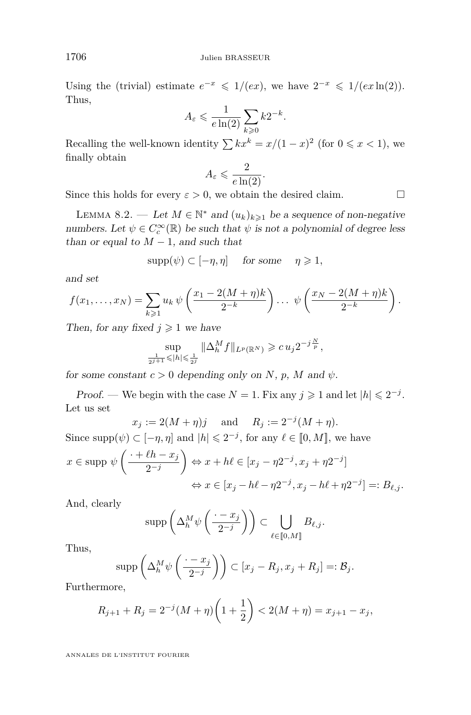Using the (trivial) estimate  $e^{-x} \leq 1/(ex)$ , we have  $2^{-x} \leq 1/(ex \ln(2))$ . Thus,

$$
A_{\varepsilon} \leqslant \frac{1}{e \ln(2)} \sum_{k \geqslant 0} k 2^{-k}.
$$

Recalling the well-known identity  $\sum kx^k = x/(1-x)^2$  (for  $0 \le x < 1$ ), we finally obtain

$$
A_{\varepsilon} \leqslant \frac{2}{e \ln(2)}.
$$

Since this holds for every  $\varepsilon > 0$ , we obtain the desired claim.

<span id="page-36-0"></span>LEMMA 8.2. — Let  $M \in \mathbb{N}^*$  and  $(u_k)_{k \geq 1}$  be a sequence of non-negative numbers. Let  $\psi \in C_c^{\infty}(\mathbb{R})$  be such that  $\psi$  is not a polynomial of degree less than or equal to  $M-1$ , and such that

$$
supp(\psi) \subset [-\eta, \eta] \quad \text{ for some } \quad \eta \geqslant 1,
$$

and set

$$
f(x_1,...,x_N) = \sum_{k \geq 1} u_k \psi\left(\frac{x_1 - 2(M + \eta)k}{2^{-k}}\right) ... \psi\left(\frac{x_N - 2(M + \eta)k}{2^{-k}}\right).
$$

Then, for any fixed  $j \geq 1$  we have

$$
\sup_{\frac{1}{2^{j+1}} \leq |h| \leq \frac{1}{2^j}} \|\Delta_h^M f\|_{L^p(\mathbb{R}^N)} \geqslant c u_j 2^{-j\frac{N}{p}},
$$

for some constant  $c > 0$  depending only on *N*, *p*, *M* and  $\psi$ .

Proof. — We begin with the case  $N = 1$ . Fix any  $j \geq 1$  and let  $|h| \leq 2^{-j}$ . Let us set

$$
x_j := 2(M + \eta)j
$$
 and  $R_j := 2^{-j}(M + \eta)$ 

Since  $\text{supp}(\psi) \subset [-\eta, \eta]$  and  $|h| \leq 2^{-j}$ , for any  $\ell \in [0, M]$ , we have  $x \in \text{supp } \psi \left( \frac{\cdot + \ell h - x_j}{\ell} \right)$ 2<sup>−</sup>*<sup>j</sup>*  $\left\{ \Leftrightarrow x + h\ell \in [x_j - \eta 2^{-j}, x_j + \eta 2^{-j}] \right\}$  $\Leftrightarrow$   $x \in [x_j - h\ell - \eta 2^{-j}, x_j - h\ell + \eta 2^{-j}] =: B_{\ell,j}.$ 

And, clearly

$$
\operatorname{supp}\left(\Delta_h^M\psi\left(\frac{\cdot-x_j}{2^{-j}}\right)\right)\subset\bigcup_{\ell\in\llbracket 0,M\rrbracket}B_{\ell,j}.
$$

Thus,

$$
\operatorname{supp}\left(\Delta_h^M\psi\left(\frac{\cdot-x_j}{2^{-j}}\right)\right)\subset [x_j-R_j,x_j+R_j]=:\mathcal{B}_j.
$$

Furthermore,

$$
R_{j+1} + R_j = 2^{-j}(M + \eta) \left(1 + \frac{1}{2}\right) < 2(M + \eta) = x_{j+1} - x_j,
$$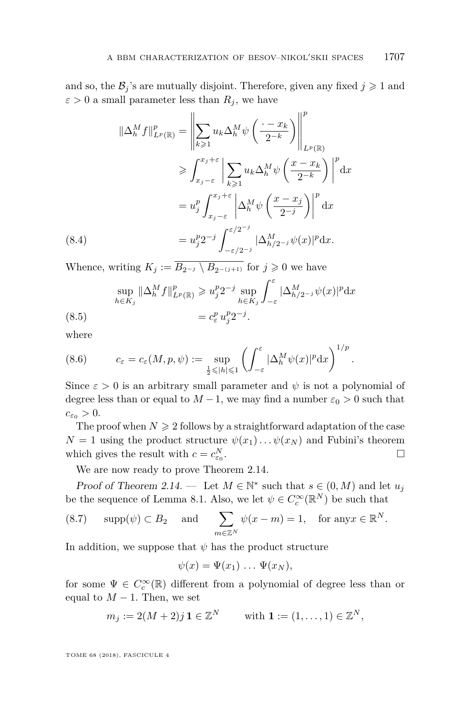and so, the  $\mathcal{B}_j$ 's are mutually disjoint. Therefore, given any fixed  $j \geq 1$  and  $\varepsilon > 0$  a small parameter less than  $R_j$ , we have

$$
\|\Delta_h^M f\|_{L^p(\mathbb{R})}^p = \left\|\sum_{k\geqslant 1} u_k \Delta_h^M \psi\left(\frac{\cdot - x_k}{2^{-k}}\right)\right\|_{L^p(\mathbb{R})}^p
$$
  
\n
$$
\geqslant \int_{x_j - \varepsilon}^{x_j + \varepsilon} \left|\sum_{k\geqslant 1} u_k \Delta_h^M \psi\left(\frac{x - x_k}{2^{-k}}\right)\right|^p dx
$$
  
\n
$$
= u_j^p \int_{x_j - \varepsilon}^{x_j + \varepsilon} \left|\Delta_h^M \psi\left(\frac{x - x_j}{2^{-j}}\right)\right|^p dx
$$
  
\n(8.4)  
\n
$$
= u_j^p 2^{-j} \int_{-\varepsilon/2^{-j}}^{\varepsilon/2^{-j}} |\Delta_{h/2^{-j}}^M \psi(x)|^p dx.
$$

Whence, writing  $K_j := \overline{B_{2^{-j}} \setminus B_{2^{-(j+1)}}}$  for  $j \geq 0$  we have

$$
\sup_{h \in K_j} \|\Delta_h^M f\|_{L^p(\mathbb{R})}^p \ge u_j^p 2^{-j} \sup_{h \in K_j} \int_{-\varepsilon}^{\varepsilon} |\Delta_{h/2^{-j}}^M \psi(x)|^p dx
$$
\n
$$
(8.5) \qquad \qquad = c_{\varepsilon}^p u_j^p 2^{-j}.
$$

where

(8.6) 
$$
c_{\varepsilon} = c_{\varepsilon}(M, p, \psi) := \sup_{\frac{1}{2} \leq |h| \leq 1} \left( \int_{-\varepsilon}^{\varepsilon} |\Delta_h^M \psi(x)|^p dx \right)^{1/p}.
$$

Since  $\varepsilon > 0$  is an arbitrary small parameter and  $\psi$  is not a polynomial of degree less than or equal to  $M-1$ , we may find a number  $\varepsilon_0 > 0$  such that  $c_{\varepsilon_0} > 0.$ 

The proof when  $N \geq 2$  follows by a straightforward adaptation of the case  $N = 1$  using the product structure  $\psi(x_1) \dots \psi(x_N)$  and Fubini's theorem which gives the result with  $c = c_{\varepsilon_0}^N$ .

We are now ready to prove Theorem [2.14.](#page-11-4)

Proof of Theorem [2.14.](#page-11-4) — Let  $M \in \mathbb{N}^*$  such that  $s \in (0, M)$  and let  $u_j$ be the sequence of Lemma [8.1.](#page-35-1) Also, we let  $\psi \in C_c^{\infty}(\mathbb{R}^N)$  be such that

(8.7) 
$$
\text{supp}(\psi) \subset B_2
$$
 and  $\sum_{m \in \mathbb{Z}^N} \psi(x - m) = 1$ , for any  $x \in \mathbb{R}^N$ .

In addition, we suppose that  $\psi$  has the product structure

$$
\psi(x)=\Psi(x_1)\ldots\Psi(x_N),
$$

for some  $\Psi \in C_c^{\infty}(\mathbb{R})$  different from a polynomial of degree less than or equal to  $M-1$ . Then, we set

$$
m_j := 2(M+2)j \mathbf{1} \in \mathbb{Z}^N \qquad \text{with } \mathbf{1} := (1, \dots, 1) \in \mathbb{Z}^N,
$$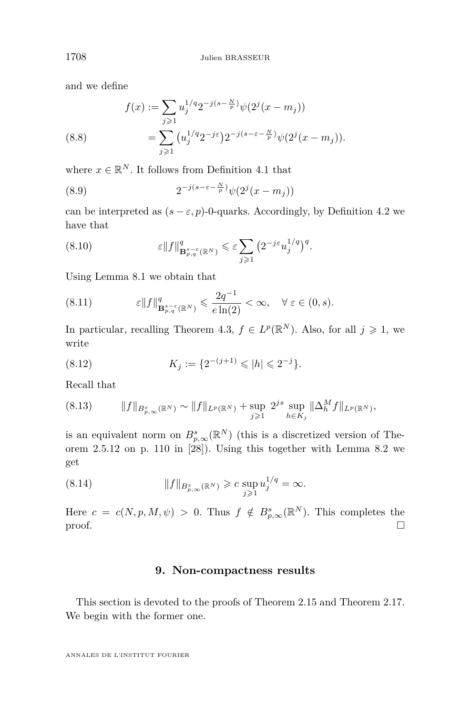and we define

(8.8) 
$$
f(x) := \sum_{j\geqslant 1} u_j^{1/q} 2^{-j(s-\frac{N}{p})} \psi(2^j(x-m_j))
$$

$$
= \sum_{j\geqslant 1} (u_j^{1/q} 2^{-j\varepsilon}) 2^{-j(s-\varepsilon-\frac{N}{p})} \psi(2^j(x-m_j)).
$$

where  $x \in \mathbb{R}^N$ . It follows from Definition [4.1](#page-17-1) that

(8.9) 
$$
2^{-j(s-\varepsilon-\frac{N}{p})}\psi(2^{j}(x-m_{j}))
$$

can be interpreted as  $(s - \varepsilon, p)$ -0-quarks. Accordingly, by Definition [4.2](#page-17-0) we have that

(8.10) 
$$
\varepsilon \|f\|_{\mathbf{B}_{p,q}^{s-\varepsilon}(\mathbb{R}^N)}^q \leqslant \varepsilon \sum_{j\geqslant 1} \left(2^{-j\varepsilon} u_j^{1/q}\right)^q.
$$

Using Lemma [8.1](#page-35-1) we obtain that

(8.11) 
$$
\varepsilon \|f\|_{\mathbf{B}_{p,q}^{s-\varepsilon}(\mathbb{R}^N)}^q \leqslant \frac{2q^{-1}}{e\ln(2)} < \infty, \quad \forall \varepsilon \in (0,s).
$$

In particular, recalling Theorem [4.3,](#page-17-4)  $f \in L^p(\mathbb{R}^N)$ . Also, for all  $j \geq 1$ , we write

(8.12) 
$$
K_j := \{ 2^{-(j+1)} \leqslant |h| \leqslant 2^{-j} \}.
$$

Recall that

$$
(8.13) \t\t ||f||_{B_{p,\infty}^s(\mathbb{R}^N)} \sim ||f||_{L^p(\mathbb{R}^N)} + \sup_{j\geq 1} 2^{js} \sup_{h \in K_j} ||\Delta_h^M f||_{L^p(\mathbb{R}^N)},
$$

is an equivalent norm on  $B_{p,\infty}^{s}(\mathbb{R}^{N})$  (this is a discretized version of Theorem 2.5.12 on p. 110 in [\[28\]](#page-43-16)). Using this together with Lemma [8.2](#page-36-0) we get

(8.14) 
$$
||f||_{B_{p,\infty}^s(\mathbb{R}^N)} \geqslant c \sup_{j\geqslant 1} u_j^{1/q} = \infty.
$$

Here  $c = c(N, p, M, \psi) > 0$ . Thus  $f \notin B_{p,\infty}^{s}(\mathbb{R}^{N})$ . This completes the  $\Box$ 

#### **9. Non-compactness results**

<span id="page-38-0"></span>This section is devoted to the proofs of Theorem [2.15](#page-12-0) and Theorem [2.17.](#page-13-3) We begin with the former one.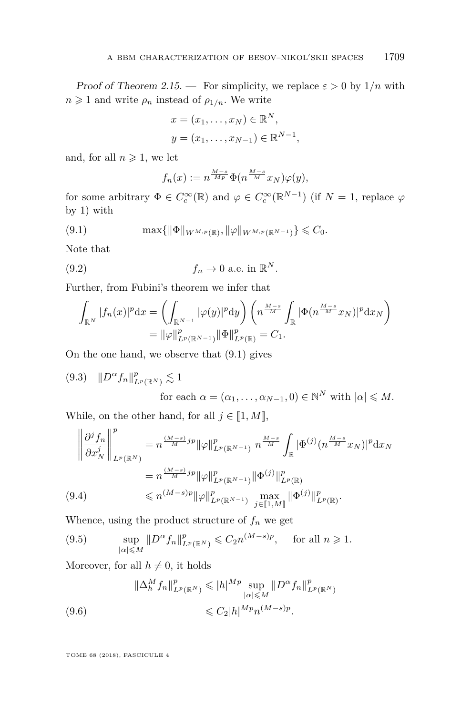Proof of Theorem [2.15.](#page-12-0) — For simplicity, we replace  $\varepsilon > 0$  by  $1/n$  with  $n \geq 1$  and write  $\rho_n$  instead of  $\rho_{1/n}$ . We write

$$
x = (x_1, \dots, x_N) \in \mathbb{R}^N,
$$
  

$$
y = (x_1, \dots, x_{N-1}) \in \mathbb{R}^{N-1},
$$

and, for all  $n \geq 1$ , we let

$$
f_n(x) := n^{\frac{M-s}{Mp}} \Phi(n^{\frac{M-s}{M}} x_N) \varphi(y),
$$

for some arbitrary  $\Phi \in C_c^{\infty}(\mathbb{R})$  and  $\varphi \in C_c^{\infty}(\mathbb{R}^{N-1})$  (if  $N = 1$ , replace  $\varphi$ by 1) with

<span id="page-39-0"></span>
$$
(9.1) \t max{ \| \Phi \|_{W^{M,p}(\mathbb{R})}, \| \varphi \|_{W^{M,p}(\mathbb{R}^{N-1})} } \leq C_0.
$$

Note that

(9.2) 
$$
f_n \to 0 \text{ a.e. in } \mathbb{R}^N.
$$

Further, from Fubini's theorem we infer that

$$
\int_{\mathbb{R}^N} |f_n(x)|^p dx = \left( \int_{\mathbb{R}^{N-1}} |\varphi(y)|^p dy \right) \left( n^{\frac{M-s}{M}} \int_{\mathbb{R}} |\Phi(n^{\frac{M-s}{M}} x_N)|^p dx_N \right) \n= ||\varphi||^p_{L^p(\mathbb{R}^{N-1})} ||\Phi||^p_{L^p(\mathbb{R})} = C_1.
$$

On the one hand, we observe that [\(9.1\)](#page-39-0) gives

 $(9.3)$   $||D^{\alpha} f_n||_{L^p(\mathbb{R}^N)}^p \lesssim 1$ for each  $\alpha = (\alpha_1, \ldots, \alpha_{N-1}, 0) \in \mathbb{N}^N$  with  $|\alpha| \leq M$ .

While, on the other hand, for all  $j \in [1, M]$ ,

$$
\left\| \frac{\partial^j f_n}{\partial x_N^j} \right\|_{L^p(\mathbb{R}^N)}^p = n^{\frac{(M-s)}{M}jp} \|\varphi\|_{L^p(\mathbb{R}^{N-1})}^p n^{\frac{M-s}{M}} \int_{\mathbb{R}} |\Phi^{(j)}(n^{\frac{M-s}{M}} x_N)|^p \mathrm{d}x_N
$$
  
\n
$$
= n^{\frac{(M-s)}{M}jp} \|\varphi\|_{L^p(\mathbb{R}^{N-1})}^p \|\Phi^{(j)}\|_{L^p(\mathbb{R})}^p
$$
  
\n(9.4) 
$$
\leq n^{(M-s)p} \|\varphi\|_{L^p(\mathbb{R}^{N-1})}^p \max_{j \in [\![1,M]\!]} \| \Phi^{(j)}\|_{L^p(\mathbb{R})}^p.
$$

Whence, using the product structure of  $f_n$  we get

(9.5) 
$$
\sup_{|\alpha| \leq M} \|D^{\alpha} f_n\|_{L^p(\mathbb{R}^N)}^p \leq C_2 n^{(M-s)p}, \quad \text{for all } n \geq 1.
$$

Moreover, for all  $h \neq 0$ , it holds

$$
\|\Delta_h^M f_n\|_{L^p(\mathbb{R}^N)}^p \le |h|^{Mp} \sup_{|\alpha| \le M} \|D^{\alpha} f_n\|_{L^p(\mathbb{R}^N)}^p
$$
  
(9.6) 
$$
\le C_2 |h|^{Mp} n^{(M-s)p}.
$$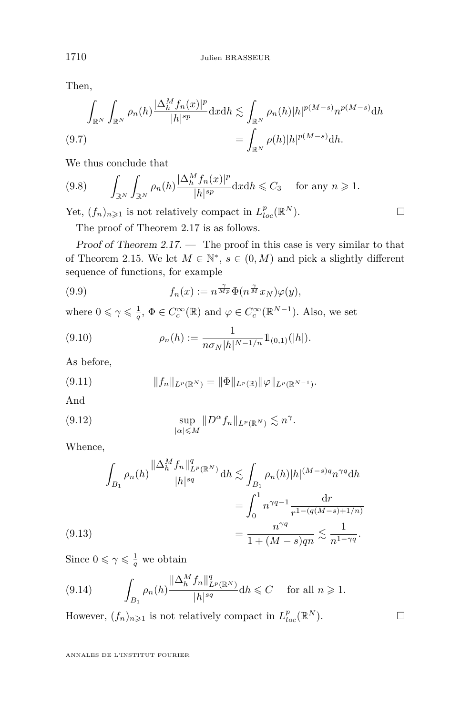Then,

$$
\int_{\mathbb{R}^N} \int_{\mathbb{R}^N} \rho_n(h) \frac{|\Delta_h^M f_n(x)|^p}{|h|^{sp}} dx dh \lesssim \int_{\mathbb{R}^N} \rho_n(h) |h|^{p(M-s)} n^{p(M-s)} dh
$$
\n
$$
(9.7)
$$
\n
$$
= \int_{\mathbb{R}^N} \rho(h) |h|^{p(M-s)} dh.
$$

We thus conclude that

$$
(9.8) \qquad \int_{\mathbb{R}^N} \int_{\mathbb{R}^N} \rho_n(h) \frac{|\Delta_h^M f_n(x)|^p}{|h|^{sp}} \mathrm{d}x \mathrm{d}h \leqslant C_3 \qquad \text{for any } n \geqslant 1.
$$

Yet,  $(f_n)_{n\geq 1}$  is not relatively compact in  $L_{loc}^p(\mathbb{R}^N)$ .

The proof of Theorem [2.17](#page-13-3) is as follows.

Proof of Theorem  $2.17.$  — The proof in this case is very similar to that of Theorem [2.15.](#page-12-0) We let  $M \in \mathbb{N}^*$ ,  $s \in (0, M)$  and pick a slightly different sequence of functions, for example

(9.9) 
$$
f_n(x) := n^{\frac{\gamma}{Mp}} \Phi(n^{\frac{\gamma}{M}} x_N) \varphi(y),
$$

where  $0 \le \gamma \le \frac{1}{q}$ ,  $\Phi \in C_c^{\infty}(\mathbb{R})$  and  $\varphi \in C_c^{\infty}(\mathbb{R}^{N-1})$ . Also, we set

(9.10) 
$$
\rho_n(h) := \frac{1}{n \sigma_N |h|^{N-1/n}} \mathbb{1}_{(0,1)}(|h|).
$$

As before,

$$
(9.11) \t\t\t ||f_n||_{L^p(\mathbb{R}^N)} = ||\Phi||_{L^p(\mathbb{R})} ||\varphi||_{L^p(\mathbb{R}^{N-1})}.
$$

And

(9.12) 
$$
\sup_{|\alpha| \leq M} \|D^{\alpha} f_n\|_{L^p(\mathbb{R}^N)} \lesssim n^{\gamma}.
$$

Whence,

$$
\int_{B_1} \rho_n(h) \frac{\|\Delta_h^M f_n\|_{L^p(\mathbb{R}^N)}^q}{|h|^{sq}} dh \lesssim \int_{B_1} \rho_n(h)|h|^{(M-s)q} n^{\gamma q} dh
$$

$$
= \int_0^1 n^{\gamma q-1} \frac{\mathrm{d}r}{r^{1-(q(M-s)+1/n)}}
$$

$$
= \frac{n^{\gamma q}}{1+(M-s)qn} \lesssim \frac{1}{n^{1-\gamma q}}.
$$

Since  $0 \leq \gamma \leq \frac{1}{q}$  we obtain

$$
(9.14) \qquad \int_{B_1} \rho_n(h) \frac{\|\Delta_h^M f_n\|_{L^p(\mathbb{R}^N)}^q}{|h|^{sq}} \mathrm{d}h \leqslant C \quad \text{ for all } n \geqslant 1.
$$

However,  $(f_n)_{n\geqslant 1}$  is not relatively compact in  $L^p_{loc}(\mathbb{R}^N)$ .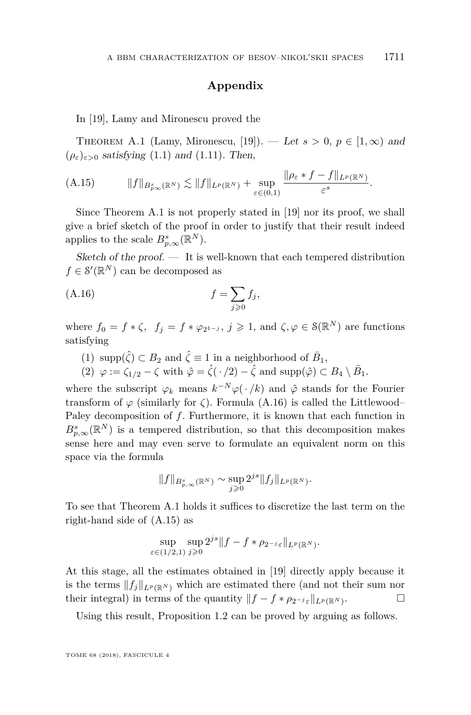#### **Appendix**

In [\[19\]](#page-43-9), Lamy and Mironescu proved the

<span id="page-41-0"></span>THEOREM A.1 (Lamy, Mironescu, [\[19\]](#page-43-9)). — Let  $s > 0$ ,  $p \in [1, \infty)$  and  $(\rho_{\varepsilon})_{\varepsilon>0}$  satisfying [\(1.1\)](#page-1-0) and [\(1.11\)](#page-3-0). Then,

<span id="page-41-2"></span>
$$
(A.15) \t\t\t||f||_{B_{p\infty}^s(\mathbb{R}^N)} \lesssim ||f||_{L^p(\mathbb{R}^N)} + \sup_{\varepsilon \in (0,1)} \frac{\|\rho_{\varepsilon} * f - f\|_{L^p(\mathbb{R}^N)}}{\varepsilon^s}.
$$

Since Theorem [A.1](#page-41-0) is not properly stated in [\[19\]](#page-43-9) nor its proof, we shall give a brief sketch of the proof in order to justify that their result indeed applies to the scale  $B_{p,\infty}^s(\mathbb{R}^N)$ .

Sketch of the proof.  $\overline{\phantom{a}}$  It is well-known that each tempered distribution  $f \in \mathcal{S}'(\mathbb{R}^N)$  can be decomposed as

<span id="page-41-1"></span>
$$
(A.16)\qquad \qquad f = \sum_{j\geqslant 0} f_j,
$$

where  $f_0 = f * \zeta$ ,  $f_j = f * \varphi_{2^{1-j}}$ ,  $j \geq 1$ , and  $\zeta, \varphi \in \mathcal{S}(\mathbb{R}^N)$  are functions satisfying

- (1)  $\text{supp}(\hat{\zeta}) \subset B_2$  and  $\hat{\zeta} \equiv 1$  in a neighborhood of  $\bar{B}_1$ ,
- $(2)$   $\varphi := \zeta_{1/2} \zeta$  with  $\hat{\varphi} = \hat{\zeta}(\cdot/2) \hat{\zeta}$  and supp $(\hat{\varphi}) \subset B_4 \setminus \bar{B}_1$ .

where the subscript  $\varphi_k$  means  $k^{-N}\varphi(\cdot/k)$  and  $\hat{\varphi}$  stands for the Fourier transform of  $\varphi$  (similarly for  $\zeta$ ). Formula [\(A.16\)](#page-41-1) is called the Littlewood– Paley decomposition of *f*. Furthermore, it is known that each function in  $B_{p,\infty}^s(\mathbb{R}^N)$  is a tempered distribution, so that this decomposition makes sense here and may even serve to formulate an equivalent norm on this space via the formula

$$
||f||_{B_{p,\infty}^s(\mathbb{R}^N)} \sim \sup_{j\geqslant 0} 2^{js} ||f_j||_{L^p(\mathbb{R}^N)}.
$$

To see that Theorem [A.1](#page-41-0) holds it suffices to discretize the last term on the right-hand side of [\(A.15\)](#page-41-2) as

$$
\sup_{\varepsilon \in (1/2,1)} \sup_{j \geqslant 0} 2^{js} \|f - f \ast \rho_{2^{-j}\varepsilon}\|_{L^p(\mathbb{R}^N)}.
$$

At this stage, all the estimates obtained in [\[19\]](#page-43-9) directly apply because it is the terms  $||f_i||_{L^p(\mathbb{R}^N)}$  which are estimated there (and not their sum nor their integral) in terms of the quantity  $||f - f * \rho_{2^{-j}\varepsilon}||_{L^p(\mathbb{R}^N)}$ . . — П

Using this result, Proposition [1.2](#page-4-0) can be proved by arguing as follows.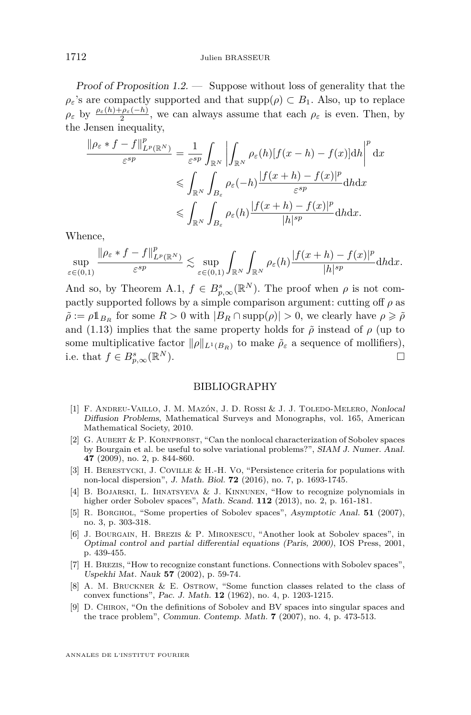Proof of Proposition [1.2.](#page-4-0) — Suppose without loss of generality that the  $\rho$ *ε*'s are compactly supported and that  $\text{supp}(\rho) \subset B_1$ . Also, up to replace  $\rho_{\varepsilon}$  by  $\frac{\rho_{\varepsilon}(h)+\rho_{\varepsilon}(-h)}{2}$ , we can always assume that each  $\rho_{\varepsilon}$  is even. Then, by the Jensen inequality,

$$
\frac{\|\rho_{\varepsilon} * f - f\|_{L^p(\mathbb{R}^N)}^p}{\varepsilon^{sp}} = \frac{1}{\varepsilon^{sp}} \int_{\mathbb{R}^N} \left| \int_{\mathbb{R}^N} \rho_{\varepsilon}(h) [f(x - h) - f(x)] dh \right|^p dx
$$
  

$$
\leqslant \int_{\mathbb{R}^N} \int_{B_{\varepsilon}} \rho_{\varepsilon}(-h) \frac{|f(x + h) - f(x)|^p}{\varepsilon^{sp}} dh dx
$$
  

$$
\leqslant \int_{\mathbb{R}^N} \int_{B_{\varepsilon}} \rho_{\varepsilon}(h) \frac{|f(x + h) - f(x)|^p}{|h|^{sp}} dh dx.
$$

Whence,

$$
\sup_{\varepsilon\in(0,1)}\frac{\|\rho_\varepsilon\ast f-f\|^p_{L^p(\mathbb R^N)}}{\varepsilon^{sp}}\lesssim \sup_{\varepsilon\in(0,1)}\int_{\mathbb R^N}\int_{\mathbb R^N}\rho_\varepsilon(h)\frac{|f(x+h)-f(x)|^p}{|h|^{sp}}\mathrm{d}h\mathrm{d}x.
$$

And so, by Theorem [A.1,](#page-41-0)  $f \in B_{p,\infty}^{s}(\mathbb{R}^{N})$ . The proof when  $\rho$  is not compactly supported follows by a simple comparison argument: cutting off  $\rho$  as  $\tilde{\rho} := \rho \mathbb{1}_{B_R}$  for some  $R > 0$  with  $|B_R \cap \text{supp}(\rho)| > 0$ , we clearly have  $\rho \geqslant \tilde{\rho}$ and [\(1.13\)](#page-4-1) implies that the same property holds for  $\tilde{\rho}$  instead of  $\rho$  (up to some multiplicative factor  $\|\rho\|_{L^1(B_R)}$  to make  $\tilde{\rho}_{\varepsilon}$  a sequence of mollifiers), i.e. that  $f \in B_{p,\infty}^s(\mathbb{R})$ *N*). □

#### BIBLIOGRAPHY

- <span id="page-42-5"></span>[1] F. Andreu-Vaillo, J. M. Mazón, J. D. Rossi & J. J. Toledo-Melero, Nonlocal Diffusion Problems, Mathematical Surveys and Monographs, vol. 165, American Mathematical Society, 2010.
- <span id="page-42-6"></span>[2] G. Aubert & P. Kornprobst, "Can the nonlocal characterization of Sobolev spaces by Bourgain et al. be useful to solve variational problems?", SIAM J. Numer. Anal. **47** (2009), no. 2, p. 844-860.
- <span id="page-42-7"></span>[3] H. BERESTYCKI, J. COVILLE & H.-H. Vo, "Persistence criteria for populations with non-local dispersion", J. Math. Biol. **72** (2016), no. 7, p. 1693-1745.
- <span id="page-42-2"></span>[4] B. Bojarski, L. Ihnatsyeva & J. Kinnunen, "How to recognize polynomials in higher order Sobolev spaces", Math. Scand. **112** (2013), no. 2, p. 161-181.
- <span id="page-42-3"></span>[5] R. Borghol, "Some properties of Sobolev spaces", Asymptotic Anal. **51** (2007), no. 3, p. 303-318.
- <span id="page-42-0"></span>[6] J. Bourgain, H. Brezis & P. Mironescu, "Another look at Sobolev spaces", in Optimal control and partial differential equations (Paris, 2000), IOS Press, 2001, p. 439-455.
- <span id="page-42-1"></span>[7] H. Brezis, "How to recognize constant functions. Connections with Sobolev spaces", Uspekhi Mat. Nauk **57** (2002), p. 59-74.
- <span id="page-42-8"></span>[8] A. M. Bruckner & E. Ostrow, "Some function classes related to the class of convex functions", Pac. J. Math. **12** (1962), no. 4, p. 1203-1215.
- <span id="page-42-4"></span>[9] D. Chiron, "On the definitions of Sobolev and BV spaces into singular spaces and the trace problem", Commun. Contemp. Math. **7** (2007), no. 4, p. 473-513.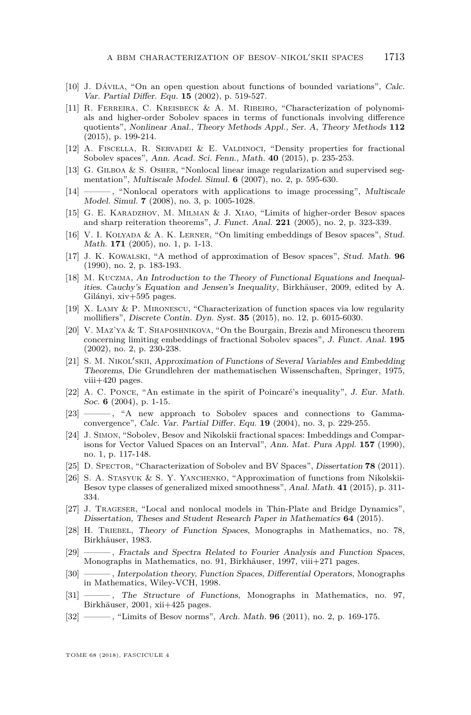- <span id="page-43-0"></span>[10] J. Dávila, "On an open question about functions of bounded variations", Calc. Var. Partial Differ. Equ. **15** (2002), p. 519-527.
- <span id="page-43-1"></span>[11] R. Ferreira, C. Kreisbeck & A. M. Ribeiro, "Characterization of polynomials and higher-order Sobolev spaces in terms of functionals involving difference quotients", Nonlinear Anal., Theory Methods Appl., Ser. A, Theory Methods **112** (2015), p. 199-214.
- <span id="page-43-19"></span>[12] A. Fiscella, R. Servadei & E. Valdinoci, "Density properties for fractional Sobolev spaces", Ann. Acad. Sci. Fenn., Math. **40** (2015), p. 235-253.
- <span id="page-43-10"></span>[13] G. Gilboa & S. Osher, "Nonlocal linear image regularization and supervised segmentation", Multiscale Model. Simul. **6** (2007), no. 2, p. 595-630.
- <span id="page-43-11"></span>[14] ——, "Nonlocal operators with applications to image processing", Multiscale Model. Simul. **7** (2008), no. 3, p. 1005-1028.
- <span id="page-43-5"></span>[15] G. E. Karadzhov, M. Milman & J. Xiao, "Limits of higher-order Besov spaces and sharp reiteration theorems", J. Funct. Anal. **221** (2005), no. 2, p. 323-339.
- <span id="page-43-6"></span>[16] V. I. KOLYADA & A. K. LERNER, "On limiting embeddings of Besov spaces", Stud. Math. **171** (2005), no. 1, p. 1-13.
- <span id="page-43-13"></span>[17] J. K. Kowalski, "A method of approximation of Besov spaces", Stud. Math. **96** (1990), no. 2, p. 183-193.
- <span id="page-43-22"></span>[18] M. Kuczma, An Introduction to the Theory of Functional Equations and Inequalities. Cauchy's Equation and Jensen's Inequality, Birkhäuser, 2009, edited by A. Gilányi, xiv+595 pages.
- <span id="page-43-9"></span>[19] X. Lamy & P. Mironescu, "Characterization of function spaces via low regularity mollifiers", Discrete Contin. Dyn. Syst. **35** (2015), no. 12, p. 6015-6030.
- <span id="page-43-7"></span>[20] V. Maz'ya & T. Shaposhnikova, "On the Bourgain, Brezis and Mironescu theorem concerning limiting embeddings of fractional Sobolev spaces", J. Funct. Anal. **195** (2002), no. 2, p. 230-238.
- <span id="page-43-14"></span>[21] S. M. NIKOL'SKII, Approximation of Functions of Several Variables and Embedding Theorems, Die Grundlehren der mathematischen Wissenschaften, Springer, 1975, viii+420 pages.
- <span id="page-43-2"></span>[22] A. C. PONCE, "An estimate in the spirit of Poincaré's inequality", J. Eur. Math. Soc. **6** (2004), p. 1-15.
- <span id="page-43-3"></span>[23]  $\longrightarrow$ , "A new approach to Sobolev spaces and connections to Gammaconvergence", Calc. Var. Partial Differ. Equ. **19** (2004), no. 3, p. 229-255.
- <span id="page-43-17"></span>[24] J. Simon, "Sobolev, Besov and Nikolskii fractional spaces: Imbeddings and Comparisons for Vector Valued Spaces on an Interval", Ann. Mat. Pura Appl. **157** (1990), no. 1, p. 117-148.
- <span id="page-43-4"></span>[25] D. Spector, "Characterization of Sobolev and BV Spaces", Dissertation **78** (2011).
- <span id="page-43-15"></span>[26] S. A. Stasyuk & S. Y. Yanchenko, "Approximation of functions from Nikolskii-Besov type classes of generalized mixed smoothness", Anal. Math. **41** (2015), p. 311- 334.
- <span id="page-43-12"></span>[27] J. Trageser, "Local and nonlocal models in Thin-Plate and Bridge Dynamics", Dissertation, Theses and Student Research Paper in Mathematics **64** (2015).
- <span id="page-43-16"></span>[28] H. Triebel, Theory of Function Spaces, Monographs in Mathematics, no. 78, Birkhäuser, 1983.
- <span id="page-43-20"></span>[29] ——— , Fractals and Spectra Related to Fourier Analysis and Function Spaces, Monographs in Mathematics, no. 91, Birkhäuser, 1997, viii+271 pages.
- <span id="page-43-18"></span>[30] ——— , Interpolation theory, Function Spaces, Differential Operators, Monographs in Mathematics, Wiley-VCH, 1998.
- <span id="page-43-21"></span>[31] ———, The Structure of Functions, Monographs in Mathematics, no. 97, Birkhäuser, 2001, xii+425 pages.
- <span id="page-43-8"></span>[32] ——— , "Limits of Besov norms", Arch. Math. **96** (2011), no. 2, p. 169-175.